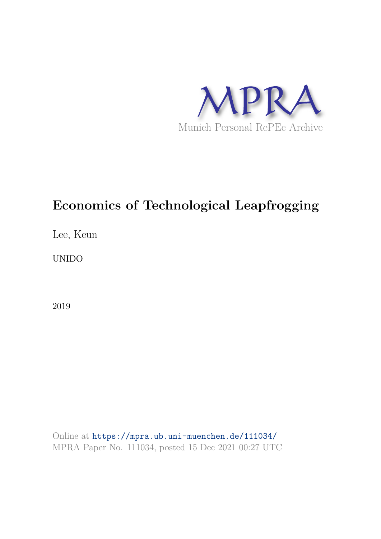

# **Economics of Technological Leapfrogging**

Lee, Keun

UNIDO

2019

Online at https://mpra.ub.uni-muenchen.de/111034/ MPRA Paper No. 111034, posted 15 Dec 2021 00:27 UTC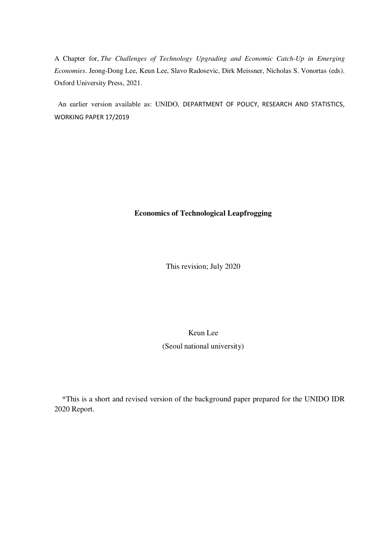A Chapter for, *The Challenges of Technology Upgrading and Economic Catch-Up in Emerging Economies*. Jeong-Dong Lee, Keun Lee, Slavo Radosevic, Dirk Meissner, Nicholas S. Vonortas (eds). Oxford University Press, 2021.

 An earlier version available as: UNIDO, DEPARTMENT OF POLICY, RESEARCH AND STATISTICS, WORKING PAPER 17/2019

# **Economics of Technological Leapfrogging**

This revision; July 2020

# Keun Lee (Seoul national university)

\*This is a short and revised version of the background paper prepared for the UNIDO IDR 2020 Report.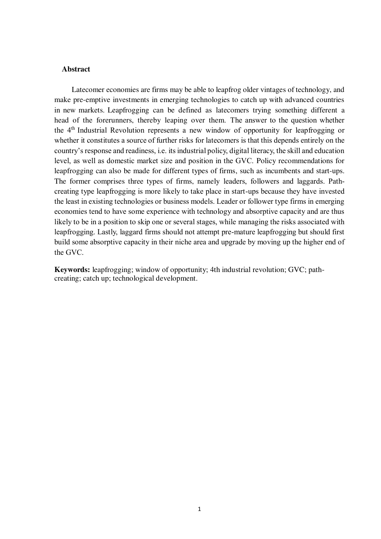#### **Abstract**

Latecomer economies are firms may be able to leapfrog older vintages of technology, and make pre-emptive investments in emerging technologies to catch up with advanced countries in new markets. Leapfrogging can be defined as latecomers trying something different a head of the forerunners, thereby leaping over them. The answer to the question whether the 4th Industrial Revolution represents a new window of opportunity for leapfrogging or whether it constitutes a source of further risks for latecomers is that this depends entirely on the country's response and readiness, i.e. its industrial policy, digital literacy, the skill and education level, as well as domestic market size and position in the GVC. Policy recommendations for leapfrogging can also be made for different types of firms, such as incumbents and start-ups. The former comprises three types of firms, namely leaders, followers and laggards. Pathcreating type leapfrogging is more likely to take place in start-ups because they have invested the least in existing technologies or business models. Leader or follower type firms in emerging economies tend to have some experience with technology and absorptive capacity and are thus likely to be in a position to skip one or several stages, while managing the risks associated with leapfrogging. Lastly, laggard firms should not attempt pre-mature leapfrogging but should first build some absorptive capacity in their niche area and upgrade by moving up the higher end of the GVC.

**Keywords:** leapfrogging; window of opportunity; 4th industrial revolution; GVC; pathcreating; catch up; technological development.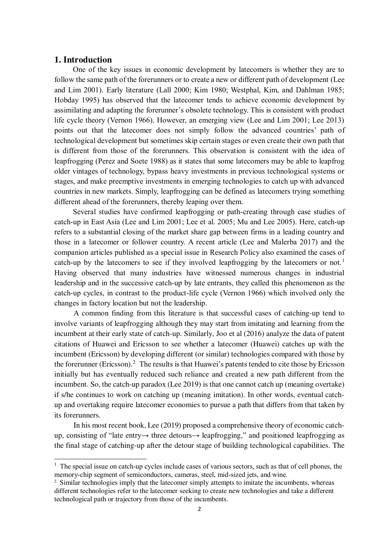# **1. Introduction**

 $\overline{a}$ 

One of the key issues in economic development by latecomers is whether they are to follow the same path of the forerunners or to create a new or different path of development (Lee and Lim 2001). Early literature (Lall 2000; Kim 1980; Westphal, Kim, and Dahlman 1985; Hobday 1995) has observed that the latecomer tends to achieve economic development by assimilating and adapting the forerunner's obsolete technology. This is consistent with product life cycle theory (Vernon 1966). However, an emerging view (Lee and Lim 2001; Lee 2013) points out that the latecomer does not simply follow the advanced countries' path of technological development but sometimes skip certain stages or even create their own path that is different from those of the forerunners. This observation is consistent with the idea of leapfrogging (Perez and Soete 1988) as it states that some latecomers may be able to leapfrog older vintages of technology, bypass heavy investments in previous technological systems or stages, and make preemptive investments in emerging technologies to catch up with advanced countries in new markets. Simply, leapfrogging can be defined as latecomers trying something different ahead of the forerunners, thereby leaping over them.

Several studies have confirmed leapfrogging or path-creating through case studies of catch-up in East Asia (Lee and Lim 2001; Lee et al. 2005; Mu and Lee 2005). Here, catch-up refers to a substantial closing of the market share gap between firms in a leading country and those in a latecomer or follower country. A recent article (Lee and Malerba 2017) and the companion articles published as a special issue in Research Policy also examined the cases of catch-up by the latecomers to see if they involved leapfrogging by the latecomers or not.<sup>1</sup> Having observed that many industries have witnessed numerous changes in industrial leadership and in the successive catch-up by late entrants, they called this phenomenon as the catch-up cycles, in contrast to the product-life cycle (Vernon 1966) which involved only the changes in factory location but not the leadership.

A common finding from this literature is that successful cases of catching-up tend to involve variants of leapfrogging although they may start from imitating and learning from the incumbent at their early state of catch-up. Similarly, Joo et al (2016) analyze the data of patent citations of Huawei and Ericsson to see whether a latecomer (Huawei) catches up with the incumbent (Ericsson) by developing different (or similar) technologies compared with those by the forerunner (Ericsson).<sup>2</sup> The results is that Huawei's patents tended to cite those by Ericsson initially but has eventually reduced such reliance and created a new path different from the incumbent. So, the catch-up paradox (Lee 2019) is that one cannot catch up (meaning overtake) if s/he continues to work on catching up (meaning imitation). In other words, eventual catchup and overtaking require latecomer economies to pursue a path that differs from that taken by its forerunners.

In his most recent book, Lee (2019) proposed a comprehensive theory of economic catchup, consisting of "late entry→ three detours→ leapfrogging," and positioned leapfrogging as the final stage of catching-up after the detour stage of building technological capabilities. The

<sup>&</sup>lt;sup>1</sup> The special issue on catch-up cycles include cases of various sectors, such as that of cell phones, the memory-chip segment of semiconductors, cameras, steel, mid-sized jets, and wine.

<sup>&</sup>lt;sup>2</sup> Similar technologies imply that the latecomer simply attempts to imitate the incumbents, whereas different technologies refer to the latecomer seeking to create new technologies and take a different technological path or trajectory from those of the incumbents.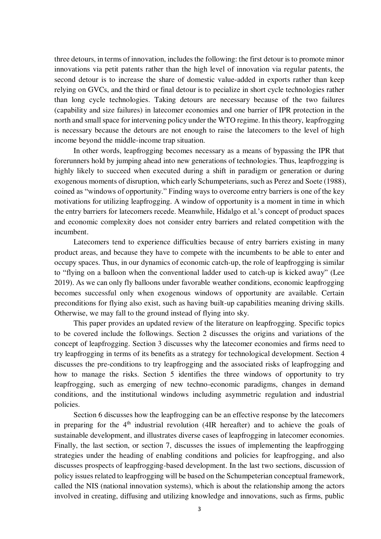three detours, in terms of innovation, includes the following: the first detour is to promote minor innovations via petit patents rather than the high level of innovation via regular patents, the second detour is to increase the share of domestic value-added in exports rather than keep relying on GVCs, and the third or final detour is to pecialize in short cycle technologies rather than long cycle technologies. Taking detours are necessary because of the two failures (capability and size failures) in latecomer economies and one barrier of IPR protection in the north and small space for intervening policy under the WTO regime. In this theory, leapfrogging is necessary because the detours are not enough to raise the latecomers to the level of high income beyond the middle-income trap situation.

In other words, leapfrogging becomes necessary as a means of bypassing the IPR that forerunners hold by jumping ahead into new generations of technologies. Thus, leapfrogging is highly likely to succeed when executed during a shift in paradigm or generation or during exogenous moments of disruption, which early Schumpeterians, such as Perez and Soete (1988), coined as "windows of opportunity." Finding ways to overcome entry barriers is one of the key motivations for utilizing leapfrogging. A window of opportunity is a moment in time in which the entry barriers for latecomers recede. Meanwhile, Hidalgo et al.'s concept of product spaces and economic complexity does not consider entry barriers and related competition with the incumbent.

Latecomers tend to experience difficulties because of entry barriers existing in many product areas, and because they have to compete with the incumbents to be able to enter and occupy spaces. Thus, in our dynamics of economic catch-up, the role of leapfrogging is similar to "flying on a balloon when the conventional ladder used to catch-up is kicked away" (Lee 2019). As we can only fly balloons under favorable weather conditions, economic leapfrogging becomes successful only when exogenous windows of opportunity are available. Certain preconditions for flying also exist, such as having built-up capabilities meaning driving skills. Otherwise, we may fall to the ground instead of flying into sky.

This paper provides an updated review of the literature on leapfrogging. Specific topics to be covered include the followings. Section 2 discusses the origins and variations of the concept of leapfrogging. Section 3 discusses why the latecomer economies and firms need to try leapfrogging in terms of its benefits as a strategy for technological development. Section 4 discusses the pre-conditions to try leapfrogging and the associated risks of leapfrogging and how to manage the risks. Section 5 identifies the three windows of opportunity to try leapfrogging, such as emerging of new techno-economic paradigms, changes in demand conditions, and the institutional windows including asymmetric regulation and industrial policies.

Section 6 discusses how the leapfrogging can be an effective response by the latecomers in preparing for the  $4<sup>th</sup>$  industrial revolution (4IR hereafter) and to achieve the goals of sustainable development, and illustrates diverse cases of leapfrogging in latecomer economies. Finally, the last section, or section 7, discusses the issues of implementing the leapfrogging strategies under the heading of enabling conditions and policies for leapfrogging, and also discusses prospects of leapfrogging-based development. In the last two sections, discussion of policy issues related to leapfrogging will be based on the Schumpeterian conceptual framework, called the NIS (national innovation systems), which is about the relationship among the actors involved in creating, diffusing and utilizing knowledge and innovations, such as firms, public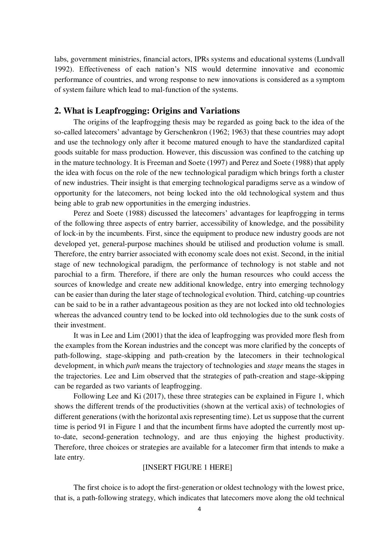labs, government ministries, financial actors, IPRs systems and educational systems (Lundvall 1992). Effectiveness of each nation's NIS would determine innovative and economic performance of countries, and wrong response to new innovations is considered as a symptom of system failure which lead to mal-function of the systems.

# **2. What is Leapfrogging: Origins and Variations**

The origins of the leapfrogging thesis may be regarded as going back to the idea of the so-called latecomers' advantage by Gerschenkron (1962; 1963) that these countries may adopt and use the technology only after it become matured enough to have the standardized capital goods suitable for mass production. However, this discussion was confined to the catching up in the mature technology. It is Freeman and Soete (1997) and Perez and Soete (1988) that apply the idea with focus on the role of the new technological paradigm which brings forth a cluster of new industries. Their insight is that emerging technological paradigms serve as a window of opportunity for the latecomers, not being locked into the old technological system and thus being able to grab new opportunities in the emerging industries.

Perez and Soete (1988) discussed the latecomers' advantages for leapfrogging in terms of the following three aspects of entry barrier, accessibility of knowledge, and the possibility of lock-in by the incumbents. First, since the equipment to produce new industry goods are not developed yet, general-purpose machines should be utilised and production volume is small. Therefore, the entry barrier associated with economy scale does not exist. Second, in the initial stage of new technological paradigm, the performance of technology is not stable and not parochial to a firm. Therefore, if there are only the human resources who could access the sources of knowledge and create new additional knowledge, entry into emerging technology can be easier than during the later stage of technological evolution. Third, catching-up countries can be said to be in a rather advantageous position as they are not locked into old technologies whereas the advanced country tend to be locked into old technologies due to the sunk costs of their investment.

It was in Lee and Lim (2001) that the idea of leapfrogging was provided more flesh from the examples from the Korean industries and the concept was more clarified by the concepts of path-following, stage-skipping and path-creation by the latecomers in their technological development, in which *path* means the trajectory of technologies and *stage* means the stages in the trajectories. Lee and Lim observed that the strategies of path-creation and stage-skipping can be regarded as two variants of leapfrogging.

Following Lee and Ki (2017), these three strategies can be explained in Figure 1, which shows the different trends of the productivities (shown at the vertical axis) of technologies of different generations (with the horizontal axis representing time). Let us suppose that the current time is period 91 in Figure 1 and that the incumbent firms have adopted the currently most upto-date, second-generation technology, and are thus enjoying the highest productivity. Therefore, three choices or strategies are available for a latecomer firm that intends to make a late entry.

## [INSERT FIGURE 1 HERE]

The first choice is to adopt the first-generation or oldest technology with the lowest price, that is, a path-following strategy, which indicates that latecomers move along the old technical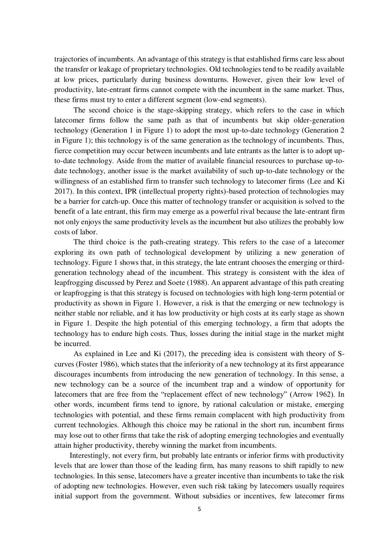trajectories of incumbents. An advantage of this strategy is that established firms care less about the transfer or leakage of proprietary technologies. Old technologies tend to be readily available at low prices, particularly during business downturns. However, given their low level of productivity, late-entrant firms cannot compete with the incumbent in the same market. Thus, these firms must try to enter a different segment (low-end segments).

The second choice is the stage-skipping strategy, which refers to the case in which latecomer firms follow the same path as that of incumbents but skip older-generation technology (Generation 1 in Figure 1) to adopt the most up-to-date technology (Generation 2 in Figure 1); this technology is of the same generation as the technology of incumbents. Thus, fierce competition may occur between incumbents and late entrants as the latter is to adopt upto-date technology. Aside from the matter of available financial resources to purchase up-todate technology, another issue is the market availability of such up-to-date technology or the willingness of an established firm to transfer such technology to latecomer firms (Lee and Ki 2017). In this context, IPR (intellectual property rights)-based protection of technologies may be a barrier for catch-up. Once this matter of technology transfer or acquisition is solved to the benefit of a late entrant, this firm may emerge as a powerful rival because the late-entrant firm not only enjoys the same productivity levels as the incumbent but also utilizes the probably low costs of labor.

The third choice is the path-creating strategy. This refers to the case of a latecomer exploring its own path of technological development by utilizing a new generation of technology. Figure 1 shows that, in this strategy, the late entrant chooses the emerging or thirdgeneration technology ahead of the incumbent. This strategy is consistent with the idea of leapfrogging discussed by Perez and Soete (1988). An apparent advantage of this path creating or leapfrogging is that this strategy is focused on technologies with high long-term potential or productivity as shown in Figure 1. However, a risk is that the emerging or new technology is neither stable nor reliable, and it has low productivity or high costs at its early stage as shown in Figure 1. Despite the high potential of this emerging technology, a firm that adopts the technology has to endure high costs. Thus, losses during the initial stage in the market might be incurred.

As explained in Lee and Ki (2017), the preceding idea is consistent with theory of Scurves (Foster 1986), which states that the inferiority of a new technology at its first appearance discourages incumbents from introducing the new generation of technology. In this sense, a new technology can be a source of the incumbent trap and a window of opportunity for latecomers that are free from the "replacement effect of new technology" (Arrow 1962). In other words, incumbent firms tend to ignore, by rational calculation or mistake, emerging technologies with potential, and these firms remain complacent with high productivity from current technologies. Although this choice may be rational in the short run, incumbent firms may lose out to other firms that take the risk of adopting emerging technologies and eventually attain higher productivity, thereby winning the market from incumbents.

Interestingly, not every firm, but probably late entrants or inferior firms with productivity levels that are lower than those of the leading firm, has many reasons to shift rapidly to new technologies. In this sense, latecomers have a greater incentive than incumbents to take the risk of adopting new technologies. However, even such risk taking by latecomers usually requires initial support from the government. Without subsidies or incentives, few latecomer firms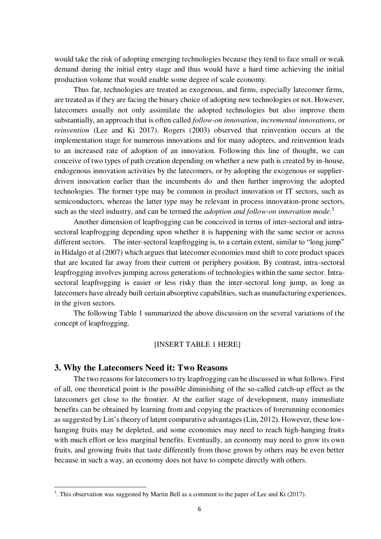would take the risk of adopting emerging technologies because they tend to face small or weak demand during the initial entry stage and thus would have a hard time achieving the initial production volume that would enable some degree of scale economy.

Thus far, technologies are treated as exogenous, and firms, especially latecomer firms, are treated as if they are facing the binary choice of adopting new technologies or not. However, latecomers usually not only assimilate the adopted technologies but also improve them substantially, an approach that is often called *follow-on innovation*, *incremental innovations*, or *reinvention* (Lee and Ki 2017). Rogers (2003) observed that reinvention occurs at the implementation stage for numerous innovations and for many adopters, and reinvention leads to an increased rate of adoption of an innovation. Following this line of thought, we can conceive of two types of path creation depending on whether a new path is created by in-house, endogenous innovation activities by the latecomers, or by adopting the exogenous or supplierdriven innovation earlier than the incumbents do and then further improving the adopted technologies. The former type may be common in product innovation or IT sectors, such as semiconductors, whereas the latter type may be relevant in process innovation-prone sectors, such as the steel industry, and can be termed the *adoption and follow-on innovation mode*. 3

Another dimension of leapfrogging can be conceived in terms of inter-sectoral and intrasectoral leapfrogging depending upon whether it is happening with the same sector or across different sectors. The inter-sectoral leapfrogging is, to a certain extent, similar to "long jump" in Hidalgo et al (2007) which argues that latecomer economies must shift to core product spaces that are located far away from their current or periphery position. By contrast, intra-sectoral leapfrogging involves jumping across generations of technologies within the same sector. Intrasectoral leapfrogging is easier or less risky than the inter-sectoral long jump, as long as latecomers have already built certain absorptive capabilities, such as manufacturing experiences, in the given sectors.

The following Table 1 summarized the above discussion on the several variations of the concept of leapfrogging.

#### [INSERT TABLE 1 HERE]

# **3. Why the Latecomers Need it: Two Reasons**

 $\overline{a}$ 

The two reasons for latecomers to try leapfrogging can be discussed in what follows. First of all, one theoretical point is the possible diminishing of the so-called catch-up effect as the latecomers get close to the frontier. At the earlier stage of development, many immediate benefits can be obtained by learning from and copying the practices of forerunning economies as suggested by Lin's theory of latent comparative advantages (Lin, 2012). However, these lowhanging fruits may be depleted, and some economies may need to reach high-hanging fruits with much effort or less marginal benefits. Eventually, an economy may need to grow its own fruits, and growing fruits that taste differently from those grown by others may be even better because in such a way, an economy does not have to compete directly with others.

 $3$ . This observation was suggested by Martin Bell as a comment to the paper of Lee and Ki (2017).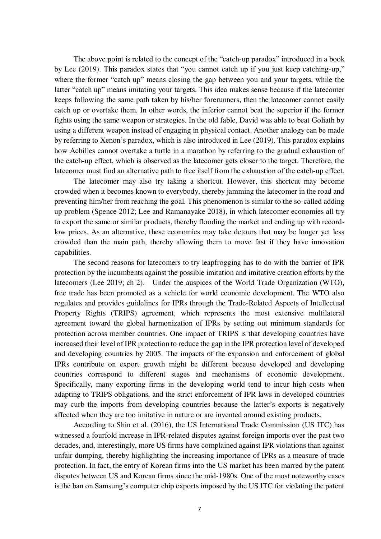The above point is related to the concept of the "catch-up paradox" introduced in a book by Lee (2019). This paradox states that "you cannot catch up if you just keep catching-up," where the former "catch up" means closing the gap between you and your targets, while the latter "catch up" means imitating your targets. This idea makes sense because if the latecomer keeps following the same path taken by his/her forerunners, then the latecomer cannot easily catch up or overtake them. In other words, the inferior cannot beat the superior if the former fights using the same weapon or strategies. In the old fable, David was able to beat Goliath by using a different weapon instead of engaging in physical contact. Another analogy can be made by referring to Xenon's paradox, which is also introduced in Lee (2019). This paradox explains how Achilles cannot overtake a turtle in a marathon by referring to the gradual exhaustion of the catch-up effect, which is observed as the latecomer gets closer to the target. Therefore, the latecomer must find an alternative path to free itself from the exhaustion of the catch-up effect.

The latecomer may also try taking a shortcut. However, this shortcut may become crowded when it becomes known to everybody, thereby jamming the latecomer in the road and preventing him/her from reaching the goal. This phenomenon is similar to the so-called adding up problem (Spence 2012; Lee and Ramanayake 2018), in which latecomer economies all try to export the same or similar products, thereby flooding the market and ending up with recordlow prices. As an alternative, these economies may take detours that may be longer yet less crowded than the main path, thereby allowing them to move fast if they have innovation capabilities.

The second reasons for latecomers to try leapfrogging has to do with the barrier of IPR protection by the incumbents against the possible imitation and imitative creation efforts by the latecomers (Lee 2019; ch 2). Under the auspices of the World Trade Organization (WTO), free trade has been promoted as a vehicle for world economic development. The WTO also regulates and provides guidelines for IPRs through the Trade-Related Aspects of Intellectual Property Rights (TRIPS) agreement, which represents the most extensive multilateral agreement toward the global harmonization of IPRs by setting out minimum standards for protection across member countries. One impact of TRIPS is that developing countries have increased their level of IPR protection to reduce the gap in the IPR protection level of developed and developing countries by 2005. The impacts of the expansion and enforcement of global IPRs contribute on export growth might be different because developed and developing countries correspond to different stages and mechanisms of economic development. Specifically, many exporting firms in the developing world tend to incur high costs when adapting to TRIPS obligations, and the strict enforcement of IPR laws in developed countries may curb the imports from developing countries because the latter's exports is negatively affected when they are too imitative in nature or are invented around existing products.

According to Shin et al. (2016), the US International Trade Commission (US ITC) has witnessed a fourfold increase in IPR-related disputes against foreign imports over the past two decades, and, interestingly, more US firms have complained against IPR violations than against unfair dumping, thereby highlighting the increasing importance of IPRs as a measure of trade protection. In fact, the entry of Korean firms into the US market has been marred by the patent disputes between US and Korean firms since the mid-1980s. One of the most noteworthy cases is the ban on Samsung's computer chip exports imposed by the US ITC for violating the patent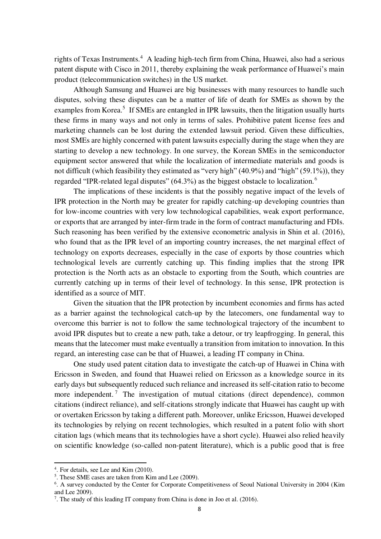rights of Texas Instruments.<sup>4</sup> A leading high-tech firm from China, Huawei, also had a serious patent dispute with Cisco in 2011, thereby explaining the weak performance of Huawei's main product (telecommunication switches) in the US market.

Although Samsung and Huawei are big businesses with many resources to handle such disputes, solving these disputes can be a matter of life of death for SMEs as shown by the examples from Korea.<sup>5</sup> If SMEs are entangled in IPR lawsuits, then the litigation usually hurts these firms in many ways and not only in terms of sales. Prohibitive patent license fees and marketing channels can be lost during the extended lawsuit period. Given these difficulties, most SMEs are highly concerned with patent lawsuits especially during the stage when they are starting to develop a new technology. In one survey, the Korean SMEs in the semiconductor equipment sector answered that while the localization of intermediate materials and goods is not difficult (which feasibility they estimated as "very high" (40.9%) and "high" (59.1%)), they regarded "IPR-related legal disputes" (64.3%) as the biggest obstacle to localization.<sup>6</sup>

The implications of these incidents is that the possibly negative impact of the levels of IPR protection in the North may be greater for rapidly catching-up developing countries than for low-income countries with very low technological capabilities, weak export performance, or exports that are arranged by inter-firm trade in the form of contract manufacturing and FDIs. Such reasoning has been verified by the extensive econometric analysis in Shin et al. (2016), who found that as the IPR level of an importing country increases, the net marginal effect of technology on exports decreases, especially in the case of exports by those countries which technological levels are currently catching up. This finding implies that the strong IPR protection is the North acts as an obstacle to exporting from the South, which countries are currently catching up in terms of their level of technology. In this sense, IPR protection is identified as a source of MIT.

Given the situation that the IPR protection by incumbent economies and firms has acted as a barrier against the technological catch-up by the latecomers, one fundamental way to overcome this barrier is not to follow the same technological trajectory of the incumbent to avoid IPR disputes but to create a new path, take a detour, or try leapfrogging. In general, this means that the latecomer must make eventually a transition from imitation to innovation. In this regard, an interesting case can be that of Huawei, a leading IT company in China.

One study used patent citation data to investigate the catch-up of Huawei in China with Ericsson in Sweden, and found that Huawei relied on Ericsson as a knowledge source in its early days but subsequently reduced such reliance and increased its self-citation ratio to become more independent.<sup>7</sup> The investigation of mutual citations (direct dependence), common citations (indirect reliance), and self-citations strongly indicate that Huawei has caught up with or overtaken Ericsson by taking a different path. Moreover, unlike Ericsson, Huawei developed its technologies by relying on recent technologies, which resulted in a patent folio with short citation lags (which means that its technologies have a short cycle). Huawei also relied heavily on scientific knowledge (so-called non-patent literature), which is a public good that is free

 $\overline{a}$ 

<sup>4</sup> . For details, see Lee and Kim (2010).

<sup>5</sup> . These SME cases are taken from Kim and Lee (2009).

<sup>&</sup>lt;sup>6</sup>. A survey conducted by the Center for Corporate Competitiveness of Seoul National University in 2004 (Kim and Lee 2009).

<sup>&</sup>lt;sup>7</sup>. The study of this leading IT company from China is done in Joo et al. (2016).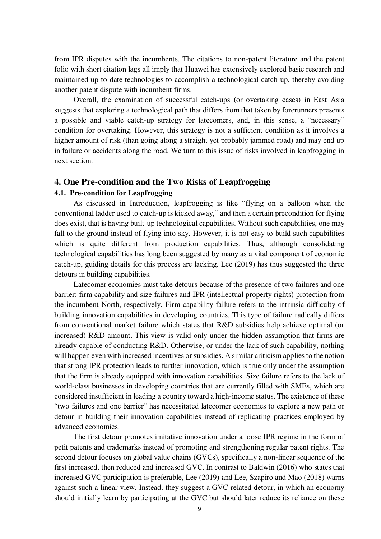from IPR disputes with the incumbents. The citations to non-patent literature and the patent folio with short citation lags all imply that Huawei has extensively explored basic research and maintained up-to-date technologies to accomplish a technological catch-up, thereby avoiding another patent dispute with incumbent firms.

Overall, the examination of successful catch-ups (or overtaking cases) in East Asia suggests that exploring a technological path that differs from that taken by forerunners presents a possible and viable catch-up strategy for latecomers, and, in this sense, a "necessary" condition for overtaking. However, this strategy is not a sufficient condition as it involves a higher amount of risk (than going along a straight yet probably jammed road) and may end up in failure or accidents along the road. We turn to this issue of risks involved in leapfrogging in next section.

# **4. One Pre-condition and the Two Risks of Leapfrogging**

# **4.1. Pre-condition for Leapfrogging**

As discussed in Introduction, leapfrogging is like "flying on a balloon when the conventional ladder used to catch-up is kicked away," and then a certain precondition for flying does exist, that is having built-up technological capabilities. Without such capabilities, one may fall to the ground instead of flying into sky. However, it is not easy to build such capabilities which is quite different from production capabilities. Thus, although consolidating technological capabilities has long been suggested by many as a vital component of economic catch-up, guiding details for this process are lacking. Lee (2019) has thus suggested the three detours in building capabilities.

Latecomer economies must take detours because of the presence of two failures and one barrier: firm capability and size failures and IPR (intellectual property rights) protection from the incumbent North, respectively. Firm capability failure refers to the intrinsic difficulty of building innovation capabilities in developing countries. This type of failure radically differs from conventional market failure which states that R&D subsidies help achieve optimal (or increased) R&D amount. This view is valid only under the hidden assumption that firms are already capable of conducting R&D. Otherwise, or under the lack of such capability, nothing will happen even with increased incentives or subsidies. A similar criticism applies to the notion that strong IPR protection leads to further innovation, which is true only under the assumption that the firm is already equipped with innovation capabilities. Size failure refers to the lack of world-class businesses in developing countries that are currently filled with SMEs, which are considered insufficient in leading a country toward a high-income status. The existence of these "two failures and one barrier" has necessitated latecomer economies to explore a new path or detour in building their innovation capabilities instead of replicating practices employed by advanced economies.

The first detour promotes imitative innovation under a loose IPR regime in the form of petit patents and trademarks instead of promoting and strengthening regular patent rights. The second detour focuses on global value chains (GVCs), specifically a non-linear sequence of the first increased, then reduced and increased GVC. In contrast to Baldwin (2016) who states that increased GVC participation is preferable, Lee (2019) and Lee, Szapiro and Mao (2018) warns against such a linear view. Instead, they suggest a GVC-related detour, in which an economy should initially learn by participating at the GVC but should later reduce its reliance on these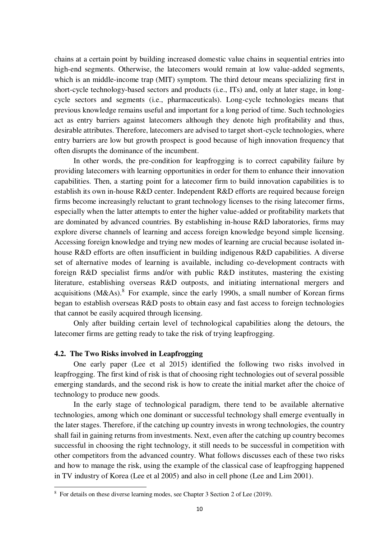chains at a certain point by building increased domestic value chains in sequential entries into high-end segments. Otherwise, the latecomers would remain at low value-added segments, which is an middle-income trap (MIT) symptom. The third detour means specializing first in short-cycle technology-based sectors and products (i.e., ITs) and, only at later stage, in longcycle sectors and segments (i.e., pharmaceuticals). Long-cycle technologies means that previous knowledge remains useful and important for a long period of time. Such technologies act as entry barriers against latecomers although they denote high profitability and thus, desirable attributes. Therefore, latecomers are advised to target short-cycle technologies, where entry barriers are low but growth prospect is good because of high innovation frequency that often disrupts the dominance of the incumbent.

In other words, the pre-condition for leapfrogging is to correct capability failure by providing latecomers with learning opportunities in order for them to enhance their innovation capabilities. Then, a starting point for a latecomer firm to build innovation capabilities is to establish its own in-house R&D center. Independent R&D efforts are required because foreign firms become increasingly reluctant to grant technology licenses to the rising latecomer firms, especially when the latter attempts to enter the higher value-added or profitability markets that are dominated by advanced countries. By establishing in-house R&D laboratories, firms may explore diverse channels of learning and access foreign knowledge beyond simple licensing. Accessing foreign knowledge and trying new modes of learning are crucial because isolated inhouse R&D efforts are often insufficient in building indigenous R&D capabilities. A diverse set of alternative modes of learning is available, including co-development contracts with foreign R&D specialist firms and/or with public R&D institutes, mastering the existing literature, establishing overseas R&D outposts, and initiating international mergers and acquisitions  $(M&As).$ <sup>8</sup> For example, since the early 1990s, a small number of Korean firms began to establish overseas R&D posts to obtain easy and fast access to foreign technologies that cannot be easily acquired through licensing.

Only after building certain level of technological capabilities along the detours, the latecomer firms are getting ready to take the risk of trying leapfrogging.

#### **4.2. The Two Risks involved in Leapfrogging**

 $\overline{a}$ 

One early paper (Lee et al 2015) identified the following two risks involved in leapfrogging. The first kind of risk is that of choosing right technologies out of several possible emerging standards, and the second risk is how to create the initial market after the choice of technology to produce new goods.

In the early stage of technological paradigm, there tend to be available alternative technologies, among which one dominant or successful technology shall emerge eventually in the later stages. Therefore, if the catching up country invests in wrong technologies, the country shall fail in gaining returns from investments. Next, even after the catching up country becomes successful in choosing the right technology, it still needs to be successful in competition with other competitors from the advanced country. What follows discusses each of these two risks and how to manage the risk, using the example of the classical case of leapfrogging happened in TV industry of Korea (Lee et al 2005) and also in cell phone (Lee and Lim 2001).

<sup>&</sup>lt;sup>8</sup> For details on these diverse learning modes, see Chapter 3 Section 2 of Lee (2019).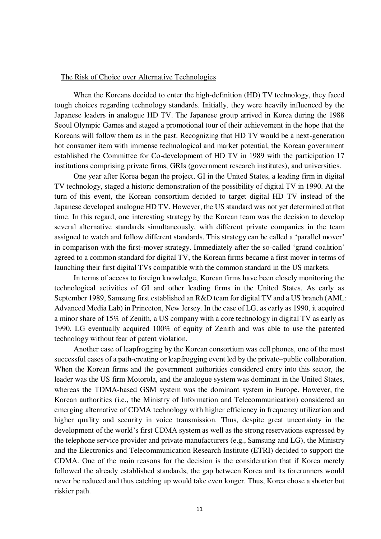#### The Risk of Choice over Alternative Technologies

When the Koreans decided to enter the high-definition (HD) TV technology, they faced tough choices regarding technology standards. Initially, they were heavily influenced by the Japanese leaders in analogue HD TV. The Japanese group arrived in Korea during the 1988 Seoul Olympic Games and staged a promotional tour of their achievement in the hope that the Koreans will follow them as in the past. Recognizing that HD TV would be a next-generation hot consumer item with immense technological and market potential, the Korean government established the Committee for Co-development of HD TV in 1989 with the participation 17 institutions comprising private firms, GRIs (government research institutes), and universities.

One year after Korea began the project, GI in the United States, a leading firm in digital TV technology, staged a historic demonstration of the possibility of digital TV in 1990. At the turn of this event, the Korean consortium decided to target digital HD TV instead of the Japanese developed analogue HD TV. However, the US standard was not yet determined at that time. In this regard, one interesting strategy by the Korean team was the decision to develop several alternative standards simultaneously, with different private companies in the team assigned to watch and follow different standards. This strategy can be called a 'parallel mover' in comparison with the first-mover strategy. Immediately after the so-called 'grand coalition' agreed to a common standard for digital TV, the Korean firms became a first mover in terms of launching their first digital TVs compatible with the common standard in the US markets.

In terms of access to foreign knowledge, Korean firms have been closely monitoring the technological activities of GI and other leading firms in the United States. As early as September 1989, Samsung first established an R&D team for digital TV and a US branch (AML: Advanced Media Lab) in Princeton, New Jersey. In the case of LG, as early as 1990, it acquired a minor share of 15% of Zenith, a US company with a core technology in digital TV as early as 1990. LG eventually acquired 100% of equity of Zenith and was able to use the patented technology without fear of patent violation.

Another case of leapfrogging by the Korean consortium was cell phones, one of the most successful cases of a path-creating or leapfrogging event led by the private–public collaboration. When the Korean firms and the government authorities considered entry into this sector, the leader was the US firm Motorola, and the analogue system was dominant in the United States, whereas the TDMA-based GSM system was the dominant system in Europe. However, the Korean authorities (i.e., the Ministry of Information and Telecommunication) considered an emerging alternative of CDMA technology with higher efficiency in frequency utilization and higher quality and security in voice transmission. Thus, despite great uncertainty in the development of the world's first CDMA system as well as the strong reservations expressed by the telephone service provider and private manufacturers (e.g., Samsung and LG), the Ministry and the Electronics and Telecommunication Research Institute (ETRI) decided to support the CDMA. One of the main reasons for the decision is the consideration that if Korea merely followed the already established standards, the gap between Korea and its forerunners would never be reduced and thus catching up would take even longer. Thus, Korea chose a shorter but riskier path.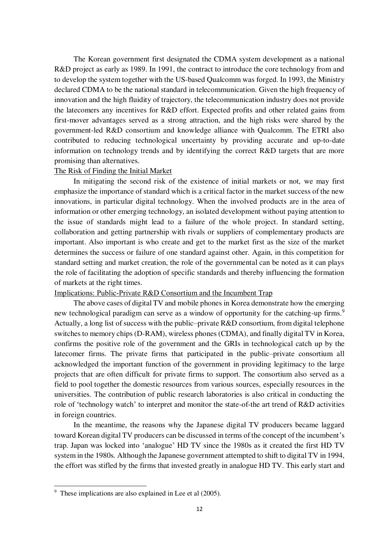The Korean government first designated the CDMA system development as a national R&D project as early as 1989. In 1991, the contract to introduce the core technology from and to develop the system together with the US-based Qualcomm was forged. In 1993, the Ministry declared CDMA to be the national standard in telecommunication. Given the high frequency of innovation and the high fluidity of trajectory, the telecommunication industry does not provide the latecomers any incentives for R&D effort. Expected profits and other related gains from first-mover advantages served as a strong attraction, and the high risks were shared by the government-led R&D consortium and knowledge alliance with Qualcomm. The ETRI also contributed to reducing technological uncertainty by providing accurate and up-to-date information on technology trends and by identifying the correct R&D targets that are more promising than alternatives.

#### The Risk of Finding the Initial Market

In mitigating the second risk of the existence of initial markets or not, we may first emphasize the importance of standard which is a critical factor in the market success of the new innovations, in particular digital technology. When the involved products are in the area of information or other emerging technology, an isolated development without paying attention to the issue of standards might lead to a failure of the whole project. In standard setting, collaboration and getting partnership with rivals or suppliers of complementary products are important. Also important is who create and get to the market first as the size of the market determines the success or failure of one standard against other. Again, in this competition for standard setting and market creation, the role of the governmental can be noted as it can plays the role of facilitating the adoption of specific standards and thereby influencing the formation of markets at the right times.

# Implications: Public-Private R&D Consortium and the Incumbent Trap

The above cases of digital TV and mobile phones in Korea demonstrate how the emerging new technological paradigm can serve as a window of opportunity for the catching-up firms.<sup>9</sup> Actually, a long list of success with the public–private R&D consortium, from digital telephone switches to memory chips (D-RAM), wireless phones (CDMA), and finally digital TV in Korea, confirms the positive role of the government and the GRIs in technological catch up by the latecomer firms. The private firms that participated in the public–private consortium all acknowledged the important function of the government in providing legitimacy to the large projects that are often difficult for private firms to support. The consortium also served as a field to pool together the domestic resources from various sources, especially resources in the universities. The contribution of public research laboratories is also critical in conducting the role of 'technology watch' to interpret and monitor the state-of-the art trend of R&D activities in foreign countries.

In the meantime, the reasons why the Japanese digital TV producers became laggard toward Korean digital TV producers can be discussed in terms of the concept of the incumbent's trap. Japan was locked into 'analogue' HD TV since the 1980s as it created the first HD TV system in the 1980s. Although the Japanese government attempted to shift to digital TV in 1994, the effort was stifled by the firms that invested greatly in analogue HD TV. This early start and

 $\overline{a}$ 

<sup>&</sup>lt;sup>9</sup> These implications are also explained in Lee et al (2005).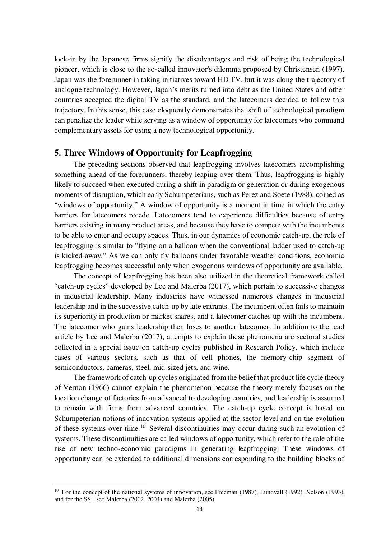lock-in by the Japanese firms signify the disadvantages and risk of being the technological pioneer, which is close to the so-called innovator's dilemma proposed by Christensen (1997). Japan was the forerunner in taking initiatives toward HD TV, but it was along the trajectory of analogue technology. However, Japan's merits turned into debt as the United States and other countries accepted the digital TV as the standard, and the latecomers decided to follow this trajectory. In this sense, this case eloquently demonstrates that shift of technological paradigm can penalize the leader while serving as a window of opportunity for latecomers who command complementary assets for using a new technological opportunity.

# **5. Three Windows of Opportunity for Leapfrogging**

The preceding sections observed that leapfrogging involves latecomers accomplishing something ahead of the forerunners, thereby leaping over them. Thus, leapfrogging is highly likely to succeed when executed during a shift in paradigm or generation or during exogenous moments of disruption, which early Schumpeterians, such as Perez and Soete (1988), coined as "windows of opportunity." A window of opportunity is a moment in time in which the entry barriers for latecomers recede. Latecomers tend to experience difficulties because of entry barriers existing in many product areas, and because they have to compete with the incumbents to be able to enter and occupy spaces. Thus, in our dynamics of economic catch-up, the role of leapfrogging is similar to "flying on a balloon when the conventional ladder used to catch-up is kicked away." As we can only fly balloons under favorable weather conditions, economic leapfrogging becomes successful only when exogenous windows of opportunity are available.

The concept of leapfrogging has been also utilized in the theoretical framework called "catch-up cycles" developed by Lee and Malerba (2017), which pertain to successive changes in industrial leadership. Many industries have witnessed numerous changes in industrial leadership and in the successive catch-up by late entrants. The incumbent often fails to maintain its superiority in production or market shares, and a latecomer catches up with the incumbent. The latecomer who gains leadership then loses to another latecomer. In addition to the lead article by Lee and Malerba (2017), attempts to explain these phenomena are sectoral studies collected in a special issue on catch-up cycles published in Research Policy, which include cases of various sectors, such as that of cell phones, the memory-chip segment of semiconductors, cameras, steel, mid-sized jets, and wine.

The framework of catch-up cycles originated from the belief that product life cycle theory of Vernon (1966) cannot explain the phenomenon because the theory merely focuses on the location change of factories from advanced to developing countries, and leadership is assumed to remain with firms from advanced countries. The catch-up cycle concept is based on Schumpeterian notions of innovation systems applied at the sector level and on the evolution of these systems over time.<sup>10</sup> Several discontinuities may occur during such an evolution of systems. These discontinuities are called windows of opportunity, which refer to the role of the rise of new techno-economic paradigms in generating leapfrogging. These windows of opportunity can be extended to additional dimensions corresponding to the building blocks of

 $\overline{a}$ 

<sup>&</sup>lt;sup>10</sup> For the concept of the national systems of innovation, see Freeman (1987), Lundvall (1992), Nelson (1993), and for the SSI, see Malerba (2002, 2004) and Malerba (2005).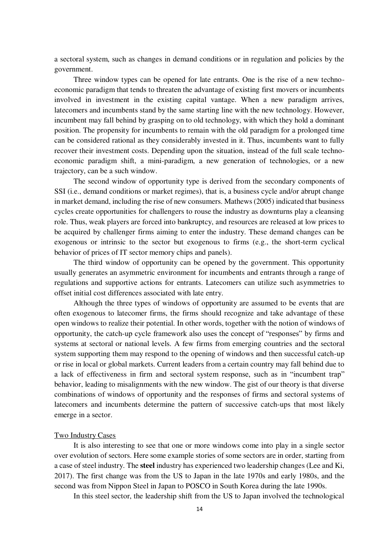a sectoral system, such as changes in demand conditions or in regulation and policies by the government.

Three window types can be opened for late entrants. One is the rise of a new technoeconomic paradigm that tends to threaten the advantage of existing first movers or incumbents involved in investment in the existing capital vantage. When a new paradigm arrives, latecomers and incumbents stand by the same starting line with the new technology. However, incumbent may fall behind by grasping on to old technology, with which they hold a dominant position. The propensity for incumbents to remain with the old paradigm for a prolonged time can be considered rational as they considerably invested in it. Thus, incumbents want to fully recover their investment costs. Depending upon the situation, instead of the full scale technoeconomic paradigm shift, a mini-paradigm, a new generation of technologies, or a new trajectory, can be a such window.

The second window of opportunity type is derived from the secondary components of SSI (i.e., demand conditions or market regimes), that is, a business cycle and/or abrupt change in market demand, including the rise of new consumers. Mathews (2005) indicated that business cycles create opportunities for challengers to rouse the industry as downturns play a cleansing role. Thus, weak players are forced into bankruptcy, and resources are released at low prices to be acquired by challenger firms aiming to enter the industry. These demand changes can be exogenous or intrinsic to the sector but exogenous to firms (e.g., the short-term cyclical behavior of prices of IT sector memory chips and panels).

The third window of opportunity can be opened by the government. This opportunity usually generates an asymmetric environment for incumbents and entrants through a range of regulations and supportive actions for entrants. Latecomers can utilize such asymmetries to offset initial cost differences associated with late entry.

Although the three types of windows of opportunity are assumed to be events that are often exogenous to latecomer firms, the firms should recognize and take advantage of these open windows to realize their potential. In other words, together with the notion of windows of opportunity, the catch-up cycle framework also uses the concept of "responses" by firms and systems at sectoral or national levels. A few firms from emerging countries and the sectoral system supporting them may respond to the opening of windows and then successful catch-up or rise in local or global markets. Current leaders from a certain country may fall behind due to a lack of effectiveness in firm and sectoral system response, such as in "incumbent trap" behavior, leading to misalignments with the new window. The gist of our theory is that diverse combinations of windows of opportunity and the responses of firms and sectoral systems of latecomers and incumbents determine the pattern of successive catch-ups that most likely emerge in a sector.

# Two Industry Cases

It is also interesting to see that one or more windows come into play in a single sector over evolution of sectors. Here some example stories of some sectors are in order, starting from a case of steel industry. The **steel** industry has experienced two leadership changes (Lee and Ki, 2017). The first change was from the US to Japan in the late 1970s and early 1980s, and the second was from Nippon Steel in Japan to POSCO in South Korea during the late 1990s.

In this steel sector, the leadership shift from the US to Japan involved the technological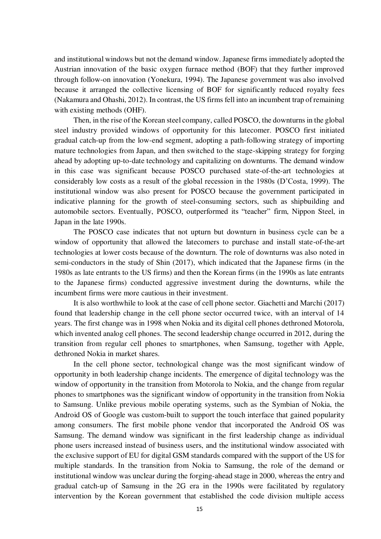and institutional windows but not the demand window. Japanese firms immediately adopted the Austrian innovation of the basic oxygen furnace method (BOF) that they further improved through follow-on innovation (Yonekura, 1994). The Japanese government was also involved because it arranged the collective licensing of BOF for significantly reduced royalty fees (Nakamura and Ohashi, 2012). In contrast, the US firms fell into an incumbent trap of remaining with existing methods (OHF).

Then, in the rise of the Korean steel company, called POSCO, the downturns in the global steel industry provided windows of opportunity for this latecomer. POSCO first initiated gradual catch-up from the low-end segment, adopting a path-following strategy of importing mature technologies from Japan, and then switched to the stage-skipping strategy for forging ahead by adopting up-to-date technology and capitalizing on downturns. The demand window in this case was significant because POSCO purchased state-of-the-art technologies at considerably low costs as a result of the global recession in the 1980s (D'Costa, 1999). The institutional window was also present for POSCO because the government participated in indicative planning for the growth of steel-consuming sectors, such as shipbuilding and automobile sectors. Eventually, POSCO, outperformed its "teacher" firm, Nippon Steel, in Japan in the late 1990s.

The POSCO case indicates that not upturn but downturn in business cycle can be a window of opportunity that allowed the latecomers to purchase and install state-of-the-art technologies at lower costs because of the downturn. The role of downturns was also noted in semi-conductors in the study of Shin (2017), which indicated that the Japanese firms (in the 1980s as late entrants to the US firms) and then the Korean firms (in the 1990s as late entrants to the Japanese firms) conducted aggressive investment during the downturns, while the incumbent firms were more cautious in their investment.

It is also worthwhile to look at the case of cell phone sector. Giachetti and Marchi (2017) found that leadership change in the cell phone sector occurred twice, with an interval of 14 years. The first change was in 1998 when Nokia and its digital cell phones dethroned Motorola, which invented analog cell phones. The second leadership change occurred in 2012, during the transition from regular cell phones to smartphones, when Samsung, together with Apple, dethroned Nokia in market shares.

In the cell phone sector, technological change was the most significant window of opportunity in both leadership change incidents. The emergence of digital technology was the window of opportunity in the transition from Motorola to Nokia, and the change from regular phones to smartphones was the significant window of opportunity in the transition from Nokia to Samsung. Unlike previous mobile operating systems, such as the Symbian of Nokia, the Android OS of Google was custom-built to support the touch interface that gained popularity among consumers. The first mobile phone vendor that incorporated the Android OS was Samsung. The demand window was significant in the first leadership change as individual phone users increased instead of business users, and the institutional window associated with the exclusive support of EU for digital GSM standards compared with the support of the US for multiple standards. In the transition from Nokia to Samsung, the role of the demand or institutional window was unclear during the forging-ahead stage in 2000, whereas the entry and gradual catch-up of Samsung in the 2G era in the 1990s were facilitated by regulatory intervention by the Korean government that established the code division multiple access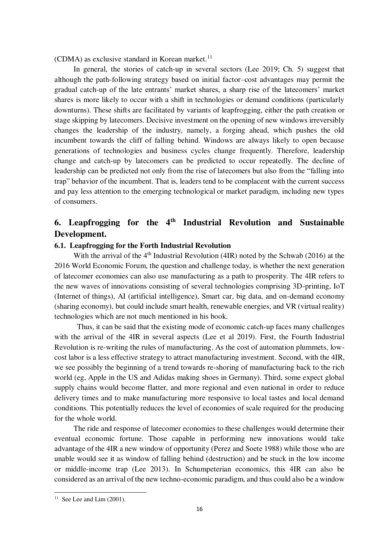(CDMA) as exclusive standard in Korean market. $^{11}$ 

In general, the stories of catch-up in several sectors (Lee 2019; Ch. 5) suggest that although the path-following strategy based on initial factor–cost advantages may permit the gradual catch-up of the late entrants' market shares, a sharp rise of the latecomers' market shares is more likely to occur with a shift in technologies or demand conditions (particularly downturns). These shifts are facilitated by variants of leapfrogging, either the path creation or stage skipping by latecomers. Decisive investment on the opening of new windows irreversibly changes the leadership of the industry, namely, a forging ahead, which pushes the old incumbent towards the cliff of falling behind. Windows are always likely to open because generations of technologies and business cycles change frequently. Therefore, leadership change and catch-up by latecomers can be predicted to occur repeatedly. The decline of leadership can be predicted not only from the rise of latecomers but also from the "falling into trap" behavior of the incumbent. That is, leaders tend to be complacent with the current success and pay less attention to the emerging technological or market paradigm, including new types of consumers.

# **6. Leapfrogging for the 4th Industrial Revolution and Sustainable Development.**

# **6.1. Leapfrogging for the Forth Industrial Revolution**

With the arrival of the  $4<sup>th</sup>$  Industrial Revolution (4IR) noted by the Schwab (2016) at the 2016 World Economic Forum, the question and challenge today, is whether the next generation of latecomer economies can also use manufacturing as a path to prosperity. The 4IR refers to the new waves of innovations consisting of several technologies comprising 3D-printing, IoT (Internet of things), AI (artificial intelligence), Smart car, big data, and on-demand economy (sharing economy), but could include smart health, renewable energies, and VR (virtual reality) technologies which are not much mentioned in his book.

Thus, it can be said that the existing mode of economic catch-up faces many challenges with the arrival of the 4IR in several aspects (Lee et al 2019). First, the Fourth Industrial Revolution is re-writing the rules of manufacturing. As the cost of automation plummets, lowcost labor is a less effective strategy to attract manufacturing investment. Second, with the 4IR, we see possibly the beginning of a trend towards re-shoring of manufacturing back to the rich world (eg, Apple in the US and Adidas making shoes in Germany). Third, some expect global supply chains would become flatter, and more regional and even national in order to reduce delivery times and to make manufacturing more responsive to local tastes and local demand conditions. This potentially reduces the level of economies of scale required for the producing for the whole world.

The ride and response of latecomer economies to these challenges would determine their eventual economic fortune. Those capable in performing new innovations would take advantage of the 4IR a new window of opportunity (Perez and Soete 1988) while those who are unable would see it as window of falling behind (destruction) and be stuck in the low income or middle-income trap (Lee 2013). In Schumpeterian economics, this 4IR can also be considered as an arrival of the new techno-economic paradigm, and thus could also be a window

 $\overline{a}$ 

<sup>&</sup>lt;sup>11</sup> See Lee and Lim  $(2001)$ .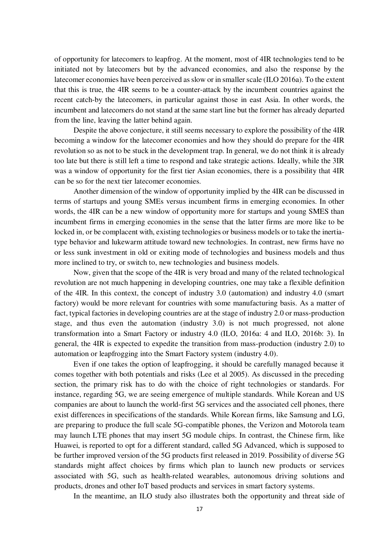of opportunity for latecomers to leapfrog. At the moment, most of 4IR technologies tend to be initiated not by latecomers but by the advanced economies, and also the response by the latecomer economies have been perceived as slow or in smaller scale (ILO 2016a). To the extent that this is true, the 4IR seems to be a counter-attack by the incumbent countries against the recent catch-by the latecomers, in particular against those in east Asia. In other words, the incumbent and latecomers do not stand at the same start line but the former has already departed from the line, leaving the latter behind again.

Despite the above conjecture, it still seems necessary to explore the possibility of the 4IR becoming a window for the latecomer economies and how they should do prepare for the 4IR revolution so as not to be stuck in the development trap. In general, we do not think it is already too late but there is still left a time to respond and take strategic actions. Ideally, while the 3IR was a window of opportunity for the first tier Asian economies, there is a possibility that 4IR can be so for the next tier latecomer economies.

Another dimension of the window of opportunity implied by the 4IR can be discussed in terms of startups and young SMEs versus incumbent firms in emerging economies. In other words, the 4IR can be a new window of opportunity more for startups and young SMES than incumbent firms in emerging economies in the sense that the latter firms are more like to be locked in, or be complacent with, existing technologies or business models or to take the inertiatype behavior and lukewarm attitude toward new technologies. In contrast, new firms have no or less sunk investment in old or exiting mode of technologies and business models and thus more inclined to try, or switch to, new technologies and business models.

Now, given that the scope of the 4IR is very broad and many of the related technological revolution are not much happening in developing countries, one may take a flexible definition of the 4IR. In this context, the concept of industry 3.0 (automation) and industry 4.0 (smart factory) would be more relevant for countries with some manufacturing basis. As a matter of fact, typical factories in developing countries are at the stage of industry 2.0 or mass-production stage, and thus even the automation (industry 3.0) is not much progressed, not alone transformation into a Smart Factory or industry 4.0 (ILO, 2016a: 4 and ILO, 2016b: 3). In general, the 4IR is expected to expedite the transition from mass-production (industry 2.0) to automation or leapfrogging into the Smart Factory system (industry 4.0).

Even if one takes the option of leapfrogging, it should be carefully managed because it comes together with both potentials and risks (Lee et al 2005). As discussed in the preceding section, the primary risk has to do with the choice of right technologies or standards. For instance, regarding 5G, we are seeing emergence of multiple standards. While Korean and US companies are about to launch the world-first 5G services and the associated cell phones, there exist differences in specifications of the standards. While Korean firms, like Samsung and LG, are preparing to produce the full scale 5G-compatible phones, the Verizon and Motorola team may launch LTE phones that may insert 5G module chips. In contrast, the Chinese firm, like Huawei, is reported to opt for a different standard, called 5G Advanced, which is supposed to be further improved version of the 5G products first released in 2019. Possibility of diverse 5G standards might affect choices by firms which plan to launch new products or services associated with 5G, such as health-related wearables, autonomous driving solutions and products, drones and other IoT based products and services in smart factory systems.

In the meantime, an ILO study also illustrates both the opportunity and threat side of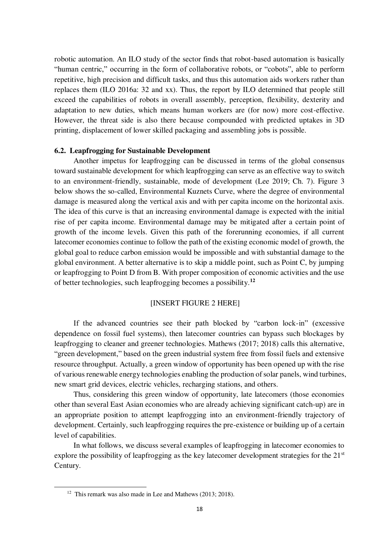robotic automation. An ILO study of the sector finds that robot-based automation is basically "human centric," occurring in the form of collaborative robots, or "cobots", able to perform repetitive, high precision and difficult tasks, and thus this automation aids workers rather than replaces them (ILO 2016a: 32 and xx). Thus, the report by ILO determined that people still exceed the capabilities of robots in overall assembly, perception, flexibility, dexterity and adaptation to new duties, which means human workers are (for now) more cost-effective. However, the threat side is also there because compounded with predicted uptakes in 3D printing, displacement of lower skilled packaging and assembling jobs is possible.

#### **6.2. Leapfrogging for Sustainable Development**

Another impetus for leapfrogging can be discussed in terms of the global consensus toward sustainable development for which leapfrogging can serve as an effective way to switch to an environment-friendly, sustainable, mode of development (Lee 2019; Ch. 7). Figure 3 below shows the so-called, Environmental Kuznets Curve, where the degree of environmental damage is measured along the vertical axis and with per capita income on the horizontal axis. The idea of this curve is that an increasing environmental damage is expected with the initial rise of per capita income. Environmental damage may be mitigated after a certain point of growth of the income levels. Given this path of the forerunning economies, if all current latecomer economies continue to follow the path of the existing economic model of growth, the global goal to reduce carbon emission would be impossible and with substantial damage to the global environment. A better alternative is to skip a middle point, such as Point C, by jumping or leapfrogging to Point D from B. With proper composition of economic activities and the use of better technologies, such leapfrogging becomes a possibility.**<sup>12</sup>**

# [INSERT FIGURE 2 HERE]

If the advanced countries see their path blocked by "carbon lock-in" (excessive dependence on fossil fuel systems), then latecomer countries can bypass such blockages by leapfrogging to cleaner and greener technologies. Mathews (2017; 2018) calls this alternative, "green development," based on the green industrial system free from fossil fuels and extensive resource throughput. Actually, a green window of opportunity has been opened up with the rise of various renewable energy technologies enabling the production of solar panels, wind turbines, new smart grid devices, electric vehicles, recharging stations, and others.

Thus, considering this green window of opportunity, late latecomers (those economies other than several East Asian economies who are already achieving significant catch-up) are in an appropriate position to attempt leapfrogging into an environment-friendly trajectory of development. Certainly, such leapfrogging requires the pre-existence or building up of a certain level of capabilities.

In what follows, we discuss several examples of leapfrogging in latecomer economies to explore the possibility of leapfrogging as the key latecomer development strategies for the 21<sup>st</sup> Century.

<sup>&</sup>lt;sup>12</sup> This remark was also made in Lee and Mathews (2013; 2018).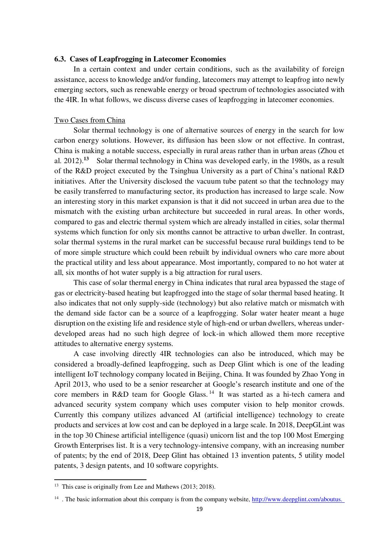# **6.3. Cases of Leapfrogging in Latecomer Economies**

In a certain context and under certain conditions, such as the availability of foreign assistance, access to knowledge and/or funding, latecomers may attempt to leapfrog into newly emerging sectors, such as renewable energy or broad spectrum of technologies associated with the 4IR. In what follows, we discuss diverse cases of leapfrogging in latecomer economies.

#### Two Cases from China

Solar thermal technology is one of alternative sources of energy in the search for low carbon energy solutions. However, its diffusion has been slow or not effective. In contrast, China is making a notable success, especially in rural areas rather than in urban areas (Zhou et al. 2012).**<sup>13</sup>** Solar thermal technology in China was developed early, in the 1980s, as a result of the R&D project executed by the Tsinghua University as a part of China's national R&D initiatives. After the University disclosed the vacuum tube patent so that the technology may be easily transferred to manufacturing sector, its production has increased to large scale. Now an interesting story in this market expansion is that it did not succeed in urban area due to the mismatch with the existing urban architecture but succeeded in rural areas. In other words, compared to gas and electric thermal system which are already installed in cities, solar thermal systems which function for only six months cannot be attractive to urban dweller. In contrast, solar thermal systems in the rural market can be successful because rural buildings tend to be of more simple structure which could been rebuilt by individual owners who care more about the practical utility and less about appearance. Most importantly, compared to no hot water at all, six months of hot water supply is a big attraction for rural users.

This case of solar thermal energy in China indicates that rural area bypassed the stage of gas or electricity-based heating but leapfrogged into the stage of solar thermal based heating. It also indicates that not only supply-side (technology) but also relative match or mismatch with the demand side factor can be a source of a leapfrogging. Solar water heater meant a huge disruption on the existing life and residence style of high-end or urban dwellers, whereas underdeveloped areas had no such high degree of lock-in which allowed them more receptive attitudes to alternative energy systems.

A case involving directly 4IR technologies can also be introduced, which may be considered a broadly-defined leapfrogging, such as Deep Glint which is one of the leading intelligent IoT technology company located in Beijing, China. It was founded by Zhao Yong in April 2013, who used to be a senior researcher at Google's research institute and one of the core members in R&D team for Google Glass. <sup>14</sup> It was started as a hi-tech camera and advanced security system company which uses computer vision to help monitor crowds. Currently this company utilizes advanced AI (artificial intelligence) technology to create products and services at low cost and can be deployed in a large scale. In 2018, DeepGLint was in the top 30 Chinese artificial intelligence (quasi) unicorn list and the top 100 Most Emerging Growth Enterprises list. It is a very technology-intensive company, with an increasing number of patents; by the end of 2018, Deep Glint has obtained 13 invention patents, 5 utility model patents, 3 design patents, and 10 software copyrights.

<sup>&</sup>lt;sup>13</sup> This case is originally from Lee and Mathews (2013; 2018).

<sup>&</sup>lt;sup>14</sup>. The basic information about this company is from the company website, [http://www.deepglint.com/aboutus.](http://www.deepglint.com/aboutus)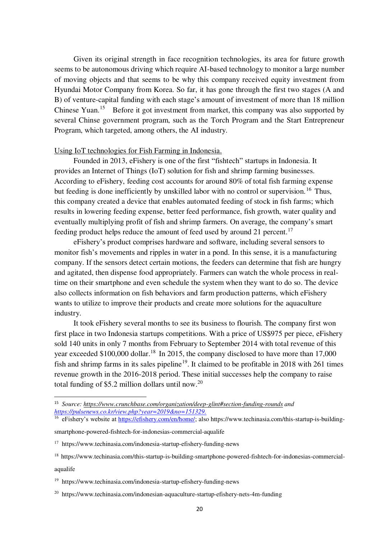Given its original strength in face recognition technologies, its area for future growth seems to be autonomous driving which require AI-based technology to monitor a large number of moving objects and that seems to be why this company received equity investment from Hyundai Motor Company from Korea. So far, it has gone through the first two stages (A and B) of venture-capital funding with each stage's amount of investment of more than 18 million Chinese Yuan.<sup>15</sup> Before it got investment from market, this company was also supported by several Chinse government program, such as the Torch Program and the Start Entrepreneur Program, which targeted, among others, the AI industry.

# Using IoT technologies for Fish Farming in Indonesia.

Founded in 2013, eFishery is one of the first "fishtech" startups in Indonesia. It provides an Internet of Things (IoT) solution for fish and shrimp farming businesses. According to eFishery, feeding cost accounts for around 80% of total fish farming expense but feeding is done inefficiently by unskilled labor with no control or supervision.<sup>16</sup> Thus, this company created a device that enables automated feeding of stock in fish farms; which results in lowering feeding expense, better feed performance, fish growth, water quality and eventually multiplying profit of fish and shrimp farmers. On average, the company's smart feeding product helps reduce the amount of feed used by around 21 percent.<sup>17</sup>

eFishery's product comprises hardware and software, including several sensors to monitor fish's movements and ripples in water in a pond. In this sense, it is a manufacturing company. If the sensors detect certain motions, the feeders can determine that fish are hungry and agitated, then dispense food appropriately. Farmers can watch the whole process in realtime on their smartphone and even schedule the system when they want to do so. The device also collects information on fish behaviors and farm production patterns, which eFishery wants to utilize to improve their products and create more solutions for the aquaculture industry.

It took eFishery several months to see its business to flourish. The company first won first place in two Indonesia startups competitions. With a price of US\$975 per piece, eFishery sold 140 units in only 7 months from February to September 2014 with total revenue of this year exceeded \$100,000 dollar.<sup>18</sup> In 2015, the company disclosed to have more than 17,000 fish and shrimp farms in its sales pipeline<sup>19</sup>. It claimed to be profitable in 2018 with 261 times revenue growth in the 2016-2018 period. These initial successes help the company to raise total funding of \$5.2 million dollars until now.<sup>20</sup>

aqualife

<sup>15</sup> *Source: https://www.crunchbase.com/organization/deep-glint#section-funding-rounds and [https://pulsenews.co.kr/view.php?year=2019&no=151329.](https://pulsenews.co.kr/view.php?year=2019&no=151329)*

<sup>&</sup>lt;sup>16</sup> eFishery's website at [https://efishery.com/en/home/;](https://efishery.com/en/home/) also https://www.techinasia.com/this-startup-is-building-

smartphone-powered-fishtech-for-indonesias-commercial-aqualife

<sup>17</sup> https://www.techinasia.com/indonesia-startup-efishery-funding-news

<sup>&</sup>lt;sup>18</sup> https://www.techinasia.com/this-startup-is-building-smartphone-powered-fishtech-for-indonesias-commercial-

<sup>&</sup>lt;sup>19</sup> https://www.techinasia.com/indonesia-startup-efishery-funding-news

<sup>20</sup> https://www.techinasia.com/indonesian-aquaculture-startup-efishery-nets-4m-funding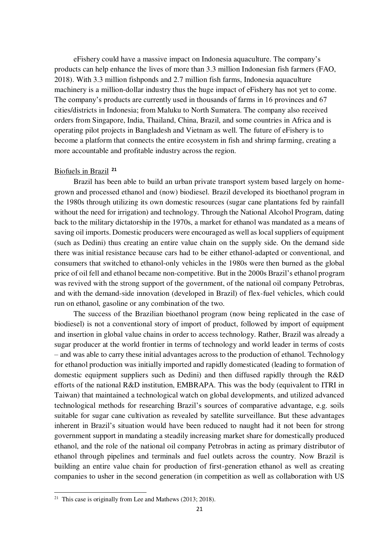eFishery could have a massive impact on Indonesia aquaculture. The company's products can help enhance the lives of more than 3.3 million Indonesian fish farmers (FAO, 2018). With 3.3 million fishponds and 2.7 million fish farms, Indonesia aquaculture machinery is a million-dollar industry thus the huge impact of eFishery has not yet to come. The company's products are currently used in thousands of farms in 16 provinces and 67 cities/districts in Indonesia; from Maluku to North Sumatera. The company also received orders from Singapore, India, Thailand, China, Brazil, and some countries in Africa and is operating pilot projects in Bangladesh and Vietnam as well. The future of eFishery is to become a platform that connects the entire ecosystem in fish and shrimp farming, creating a more accountable and profitable industry across the region.

# Biofuels in Brazil **<sup>21</sup>**

Brazil has been able to build an urban private transport system based largely on homegrown and processed ethanol and (now) biodiesel. Brazil developed its bioethanol program in the 1980s through utilizing its own domestic resources (sugar cane plantations fed by rainfall without the need for irrigation) and technology. Through the National Alcohol Program, dating back to the military dictatorship in the 1970s, a market for ethanol was mandated as a means of saving oil imports. Domestic producers were encouraged as well as local suppliers of equipment (such as Dedini) thus creating an entire value chain on the supply side. On the demand side there was initial resistance because cars had to be either ethanol-adapted or conventional, and consumers that switched to ethanol-only vehicles in the 1980s were then burned as the global price of oil fell and ethanol became non-competitive. But in the 2000s Brazil's ethanol program was revived with the strong support of the government, of the national oil company Petrobras, and with the demand-side innovation (developed in Brazil) of flex-fuel vehicles, which could run on ethanol, gasoline or any combination of the two.

The success of the Brazilian bioethanol program (now being replicated in the case of biodiesel) is not a conventional story of import of product, followed by import of equipment and insertion in global value chains in order to access technology. Rather, Brazil was already a sugar producer at the world frontier in terms of technology and world leader in terms of costs – and was able to carry these initial advantages across to the production of ethanol. Technology for ethanol production was initially imported and rapidly domesticated (leading to formation of domestic equipment suppliers such as Dedini) and then diffused rapidly through the R&D efforts of the national R&D institution, EMBRAPA. This was the body (equivalent to ITRI in Taiwan) that maintained a technological watch on global developments, and utilized advanced technological methods for researching Brazil's sources of comparative advantage, e.g. soils suitable for sugar cane cultivation as revealed by satellite surveillance. But these advantages inherent in Brazil's situation would have been reduced to naught had it not been for strong government support in mandating a steadily increasing market share for domestically produced ethanol, and the role of the national oil company Petrobras in acting as primary distributor of ethanol through pipelines and terminals and fuel outlets across the country. Now Brazil is building an entire value chain for production of first-generation ethanol as well as creating companies to usher in the second generation (in competition as well as collaboration with US

<sup>&</sup>lt;sup>21</sup> This case is originally from Lee and Mathews  $(2013; 2018)$ .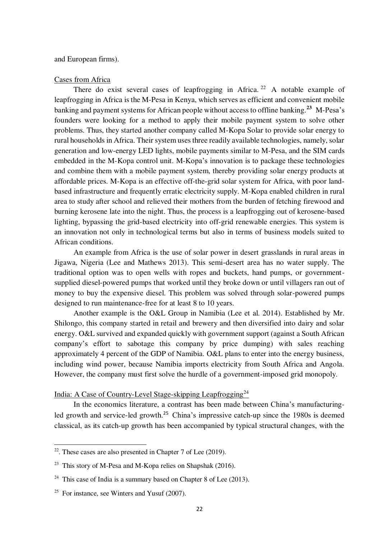### and European firms).

#### Cases from Africa

There do exist several cases of leapfrogging in Africa.<sup>22</sup> A notable example of leapfrogging in Africa is the M-Pesa in Kenya, which serves as efficient and convenient mobile banking and payment systems for African people without access to offline banking.**<sup>23</sup>** M-Pesa's founders were looking for a method to apply their mobile payment system to solve other problems. Thus, they started another company called M-Kopa Solar to provide solar energy to rural households in Africa. Their system uses three readily available technologies, namely, solar generation and low-energy LED lights, mobile payments similar to M-Pesa, and the SIM cards embedded in the M-Kopa control unit. M-Kopa's innovation is to package these technologies and combine them with a mobile payment system, thereby providing solar energy products at affordable prices. M-Kopa is an effective off-the-grid solar system for Africa, with poor landbased infrastructure and frequently erratic electricity supply. M-Kopa enabled children in rural area to study after school and relieved their mothers from the burden of fetching firewood and burning kerosene late into the night. Thus, the process is a leapfrogging out of kerosene-based lighting, bypassing the grid-based electricity into off-grid renewable energies. This system is an innovation not only in technological terms but also in terms of business models suited to African conditions.

An example from Africa is the use of solar power in desert grasslands in rural areas in Jigawa, Nigeria (Lee and Mathews 2013). This semi-desert area has no water supply. The traditional option was to open wells with ropes and buckets, hand pumps, or governmentsupplied diesel-powered pumps that worked until they broke down or until villagers ran out of money to buy the expensive diesel. This problem was solved through solar-powered pumps designed to run maintenance-free for at least 8 to 10 years.

Another example is the O&L Group in Namibia (Lee et al. 2014). Established by Mr. Shilongo, this company started in retail and brewery and then diversified into dairy and solar energy. O&L survived and expanded quickly with government support (against a South African company's effort to sabotage this company by price dumping) with sales reaching approximately 4 percent of the GDP of Namibia. O&L plans to enter into the energy business, including wind power, because Namibia imports electricity from South Africa and Angola. However, the company must first solve the hurdle of a government-imposed grid monopoly.

# India: A Case of Country-Level Stage-skipping Leapfrogging<sup>24</sup>

In the economics literature, a contrast has been made between China's manufacturingled growth and service-led growth.<sup>25</sup> China's impressive catch-up since the 1980s is deemed classical, as its catch-up growth has been accompanied by typical structural changes, with the

 $\overline{a}$ 

 $22$ . These cases are also presented in Chapter 7 of Lee (2019).

<sup>&</sup>lt;sup>23</sup> This story of M-Pesa and M-Kopa relies on Shapshak (2016).

<sup>&</sup>lt;sup>24</sup> This case of India is a summary based on Chapter 8 of Lee (2013).

 $25$  For instance, see Winters and Yusuf (2007).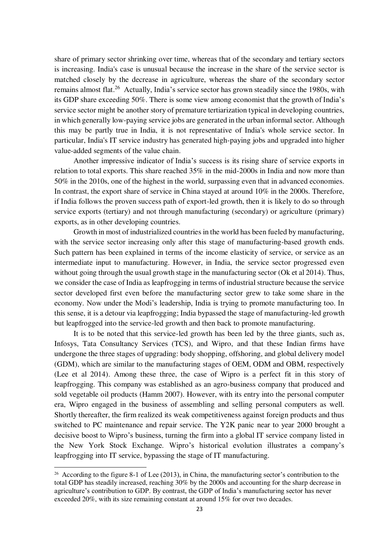share of primary sector shrinking over time, whereas that of the secondary and tertiary sectors is increasing. India's case is unusual because the increase in the share of the service sector is matched closely by the decrease in agriculture, whereas the share of the secondary sector remains almost flat.<sup>26</sup> Actually, India's service sector has grown steadily since the 1980s, with its GDP share exceeding 50%. There is some view among economist that the growth of India's service sector might be another story of premature tertiarization typical in developing countries, in which generally low-paying service jobs are generated in the urban informal sector. Although this may be partly true in India, it is not representative of India's whole service sector. In particular, India's IT service industry has generated high-paying jobs and upgraded into higher value-added segments of the value chain.

Another impressive indicator of India's success is its rising share of service exports in relation to total exports. This share reached 35% in the mid-2000s in India and now more than 50% in the 2010s, one of the highest in the world, surpassing even that in advanced economies. In contrast, the export share of service in China stayed at around 10% in the 2000s. Therefore, if India follows the proven success path of export-led growth, then it is likely to do so through service exports (tertiary) and not through manufacturing (secondary) or agriculture (primary) exports, as in other developing countries.

Growth in most of industrialized countries in the world has been fueled by manufacturing, with the service sector increasing only after this stage of manufacturing-based growth ends. Such pattern has been explained in terms of the income elasticity of service, or service as an intermediate input to manufacturing. However, in India, the service sector progressed even without going through the usual growth stage in the manufacturing sector (Ok et al 2014). Thus, we consider the case of India as leapfrogging in terms of industrial structure because the service sector developed first even before the manufacturing sector grew to take some share in the economy. Now under the Modi's leadership, India is trying to promote manufacturing too. In this sense, it is a detour via leapfrogging; India bypassed the stage of manufacturing-led growth but leapfrogged into the service-led growth and then back to promote manufacturing.

It is to be noted that this service-led growth has been led by the three giants, such as, Infosys, Tata Consultancy Services (TCS), and Wipro, and that these Indian firms have undergone the three stages of upgrading: body shopping, offshoring, and global delivery model (GDM), which are similar to the manufacturing stages of OEM, ODM and OBM, respectively (Lee et al 2014). Among these three, the case of Wipro is a perfect fit in this story of leapfrogging. This company was established as an agro-business company that produced and sold vegetable oil products (Hamm 2007). However, with its entry into the personal computer era, Wipro engaged in the business of assembling and selling personal computers as well. Shortly thereafter, the firm realized its weak competitiveness against foreign products and thus switched to PC maintenance and repair service. The Y2K panic near to year 2000 brought a decisive boost to Wipro's business, turning the firm into a global IT service company listed in the New York Stock Exchange. Wipro's historical evolution illustrates a company's leapfrogging into IT service, bypassing the stage of IT manufacturing.

<sup>&</sup>lt;sup>26</sup> According to the figure 8-1 of Lee (2013), in China, the manufacturing sector's contribution to the total GDP has steadily increased, reaching 30% by the 2000s and accounting for the sharp decrease in agriculture's contribution to GDP. By contrast, the GDP of India's manufacturing sector has never exceeded 20%, with its size remaining constant at around 15% for over two decades.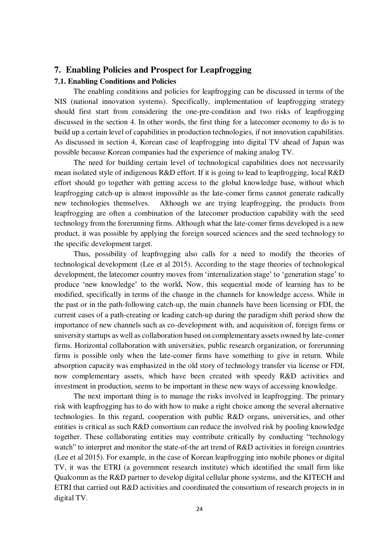# **7. Enabling Policies and Prospect for Leapfrogging**

# **7.1. Enabling Conditions and Policies**

The enabling conditions and policies for leapfrogging can be discussed in terms of the NIS (national innovation systems). Specifically, implementation of leapfrogging strategy should first start from considering the one-pre-condition and two risks of leapfrogging discussed in the section 4. In other words, the first thing for a latecomer economy to do is to build up a certain level of capabilities in production technologies, if not innovation capabilities. As discussed in section 4, Korean case of leapfrogging into digital TV ahead of Japan was possible because Korean companies had the experience of making analog TV.

The need for building certain level of technological capabilities does not necessarily mean isolated style of indigenous R&D effort. If it is going to lead to leapfrogging, local R&D effort should go together with getting access to the global knowledge base, without which leapfrogging catch-up is almost impossible as the late-comer firms cannot generate radically new technologies themselves. Although we are trying leapfrogging, the products from leapfrogging are often a combination of the latecomer production capability with the seed technology from the forerunning firms. Although what the late-comer firms developed is a new product, it was possible by applying the foreign sourced sciences and the seed technology to the specific development target.

Thus, possibility of leapfrogging also calls for a need to modify the theories of technological development (Lee et al 2015). According to the stage theories of technological development, the latecomer country moves from 'internalization stage' to 'generation stage' to produce 'new knowledge' to the world**.** Now, this sequential mode of learning has to be modified, specifically in terms of the change in the channels for knowledge access. While in the past or in the path-following catch-up, the main channels have been licensing or FDI, the current cases of a path-creating or leading catch-up during the paradigm shift period show the importance of new channels such as co-development with, and acquisition of, foreign firms or university startups as well as collaboration based on complementary assets owned by late-comer firms. Horizontal collaboration with universities, public research organization, or forerunning firms is possible only when the late-comer firms have something to give in return. While absorption capacity was emphasized in the old story of technology transfer via license or FDI, now complementary assets, which have been created with speedy R&D activities and investment in production, seems to be important in these new ways of accessing knowledge.

The next important thing is to manage the risks involved in leapfrogging. The primary risk with leapfrogging has to do with how to make a right choice among the several alternative technologies. In this regard, cooperation with public R&D organs, universities, and other entities is critical as such R&D consortium can reduce the involved risk by pooling knowledge together. These collaborating entities may contribute critically by conducting "technology watch" to interpret and monitor the state-of-the art trend of R&D activities in foreign countries (Lee et al 2015). For example, in the case of Korean leapfrogging into mobile phones or digital TV, it was the ETRI (a government research institute) which identified the small firm like Qualcomm as the R&D partner to develop digital cellular phone systems, and the KITECH and ETRI that carried out R&D activities and coordinated the consortium of research projects in in digital TV.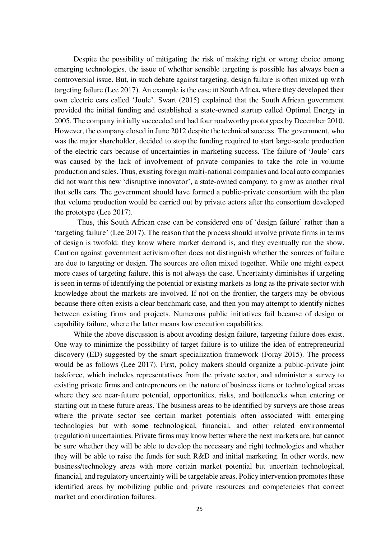Despite the possibility of mitigating the risk of making right or wrong choice among emerging technologies, the issue of whether sensible targeting is possible has always been a controversial issue. But, in such debate against targeting, design failure is often mixed up with targeting failure (Lee 2017). An example is the case in South Africa, where they developed their own electric cars called 'Joule'. Swart (2015) explained that the South African government provided the initial funding and established a state-owned startup called Optimal Energy in 2005. The company initially succeeded and had four roadworthy prototypes by December 2010. However, the company closed in June 2012 despite the technical success. The government, who was the major shareholder, decided to stop the funding required to start large-scale production of the electric cars because of uncertainties in marketing success. The failure of 'Joule' cars was caused by the lack of involvement of private companies to take the role in volume production and sales. Thus, existing foreign multi-national companies and local auto companies did not want this new 'disruptive innovator', a state-owned company, to grow as another rival that sells cars. The government should have formed a public-private consortium with the plan that volume production would be carried out by private actors after the consortium developed the prototype (Lee 2017).

Thus, this South African case can be considered one of 'design failure' rather than a 'targeting failure' (Lee 2017). The reason that the process should involve private firms in terms of design is twofold: they know where market demand is, and they eventually run the show. Caution against government activism often does not distinguish whether the sources of failure are due to targeting or design. The sources are often mixed together. While one might expect more cases of targeting failure, this is not always the case. Uncertainty diminishes if targeting is seen in terms of identifying the potential or existing markets as long as the private sector with knowledge about the markets are involved. If not on the frontier, the targets may be obvious because there often exists a clear benchmark case, and then you may attempt to identify niches between existing firms and projects. Numerous public initiatives fail because of design or capability failure, where the latter means low execution capabilities.

While the above discussion is about avoiding design failure, targeting failure does exist. One way to minimize the possibility of target failure is to utilize the idea of entrepreneurial discovery (ED) suggested by the smart specialization framework (Foray 2015). The process would be as follows (Lee 2017). First, policy makers should organize a public-private joint taskforce, which includes representatives from the private sector, and administer a survey to existing private firms and entrepreneurs on the nature of business items or technological areas where they see near-future potential, opportunities, risks, and bottlenecks when entering or starting out in these future areas. The business areas to be identified by surveys are those areas where the private sector see certain market potentials often associated with emerging technologies but with some technological, financial, and other related environmental (regulation) uncertainties. Private firms may know better where the next markets are, but cannot be sure whether they will be able to develop the necessary and right technologies and whether they will be able to raise the funds for such R&D and initial marketing. In other words, new business/technology areas with more certain market potential but uncertain technological, financial, and regulatory uncertainty will be targetable areas. Policy intervention promotes these identified areas by mobilizing public and private resources and competencies that correct market and coordination failures.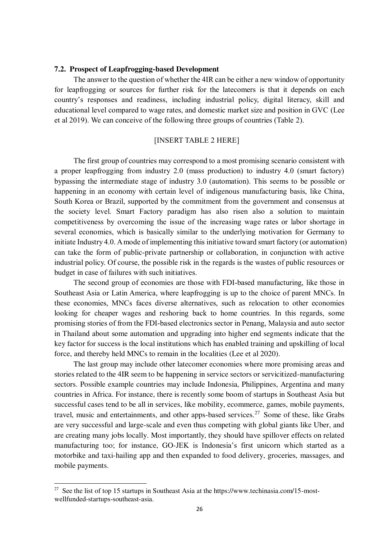# **7.2. Prospect of Leapfrogging-based Development**

The answer to the question of whether the 4IR can be either a new window of opportunity for leapfrogging or sources for further risk for the latecomers is that it depends on each country's responses and readiness, including industrial policy, digital literacy, skill and educational level compared to wage rates, and domestic market size and position in GVC (Lee et al 2019). We can conceive of the following three groups of countries (Table 2).

# [INSERT TABLE 2 HERE]

The first group of countries may correspond to a most promising scenario consistent with a proper leapfrogging from industry 2.0 (mass production) to industry 4.0 (smart factory) bypassing the intermediate stage of industry 3.0 (automation). This seems to be possible or happening in an economy with certain level of indigenous manufacturing basis, like China, South Korea or Brazil, supported by the commitment from the government and consensus at the society level. Smart Factory paradigm has also risen also a solution to maintain competitiveness by overcoming the issue of the increasing wage rates or labor shortage in several economies, which is basically similar to the underlying motivation for Germany to initiate Industry 4.0. A mode of implementing this initiative toward smart factory (or automation) can take the form of public-private partnership or collaboration, in conjunction with active industrial policy. Of course, the possible risk in the regards is the wastes of public resources or budget in case of failures with such initiatives.

The second group of economies are those with FDI-based manufacturing, like those in Southeast Asia or Latin America, where leapfrogging is up to the choice of parent MNCs. In these economies, MNCs faces diverse alternatives, such as relocation to other economies looking for cheaper wages and reshoring back to home countries. In this regards, some promising stories of from the FDI-based electronics sector in Penang, Malaysia and auto sector in Thailand about some automation and upgrading into higher end segments indicate that the key factor for success is the local institutions which has enabled training and upskilling of local force, and thereby held MNCs to remain in the localities (Lee et al 2020).

The last group may include other latecomer economies where more promising areas and stories related to the 4IR seem to be happening in service sectors or servicitized-manufacturing sectors. Possible example countries may include Indonesia, Philippines, Argentina and many countries in Africa. For instance, there is recently some boom of startups in Southeast Asia but successful cases tend to be all in services, like mobility, ecommerce, games, mobile payments, travel, music and entertainments, and other apps-based services.<sup>27</sup> Some of these, like Grabs are very successful and large-scale and even thus competing with global giants like Uber, and are creating many jobs locally. Most importantly, they should have spillover effects on related manufacturing too; for instance, GO-JEK is Indonesia's first unicorn which started as a motorbike and taxi-hailing app and then expanded to food delivery, groceries, massages, and mobile payments.

 $27\,$ See the list of top 15 startups in Southeast Asia at the https://www.techinasia.com/15-mostwellfunded-startups-southeast-asia.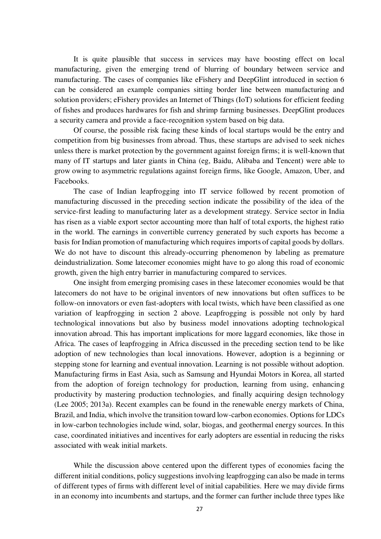It is quite plausible that success in services may have boosting effect on local manufacturing, given the emerging trend of blurring of boundary between service and manufacturing. The cases of companies like eFishery and DeepGlint introduced in section 6 can be considered an example companies sitting border line between manufacturing and solution providers; eFishery provides an Internet of Things (IoT) solutions for efficient feeding of fishes and produces hardwares for fish and shrimp farming businesses. DeepGlint produces a security camera and provide a face-recognition system based on big data.

Of course, the possible risk facing these kinds of local startups would be the entry and competition from big businesses from abroad. Thus, these startups are advised to seek niches unless there is market protection by the government against foreign firms; it is well-known that many of IT startups and later giants in China (eg, Baidu, Alibaba and Tencent) were able to grow owing to asymmetric regulations against foreign firms, like Google, Amazon, Uber, and Facebooks.

The case of Indian leapfrogging into IT service followed by recent promotion of manufacturing discussed in the preceding section indicate the possibility of the idea of the service-first leading to manufacturing later as a development strategy. Service sector in India has risen as a viable export sector accounting more than half of total exports, the highest ratio in the world. The earnings in convertible currency generated by such exports has become a basis for Indian promotion of manufacturing which requires imports of capital goods by dollars. We do not have to discount this already-occurring phenomenon by labeling as premature deindustrialization. Some latecomer economies might have to go along this road of economic growth, given the high entry barrier in manufacturing compared to services.

One insight from emerging promising cases in these latecomer economies would be that latecomers do not have to be original inventors of new innovations but often suffices to be follow-on innovators or even fast-adopters with local twists, which have been classified as one variation of leapfrogging in section 2 above. Leapfrogging is possible not only by hard technological innovations but also by business model innovations adopting technological innovation abroad. This has important implications for more laggard economies, like those in Africa. The cases of leapfrogging in Africa discussed in the preceding section tend to be like adoption of new technologies than local innovations. However, adoption is a beginning or stepping stone for learning and eventual innovation. Learning is not possible without adoption. Manufacturing firms in East Asia, such as Samsung and Hyundai Motors in Korea, all started from the adoption of foreign technology for production, learning from using, enhancing productivity by mastering production technologies, and finally acquiring design technology (Lee 2005; 2013a). Recent examples can be found in the renewable energy markets of China, Brazil, and India, which involve the transition toward low-carbon economies. Options for LDCs in low-carbon technologies include wind, solar, biogas, and geothermal energy sources. In this case, coordinated initiatives and incentives for early adopters are essential in reducing the risks associated with weak initial markets.

While the discussion above centered upon the different types of economies facing the different initial conditions, policy suggestions involving leapfrogging can also be made in terms of different types of firms with different level of initial capabilities. Here we may divide firms in an economy into incumbents and startups, and the former can further include three types like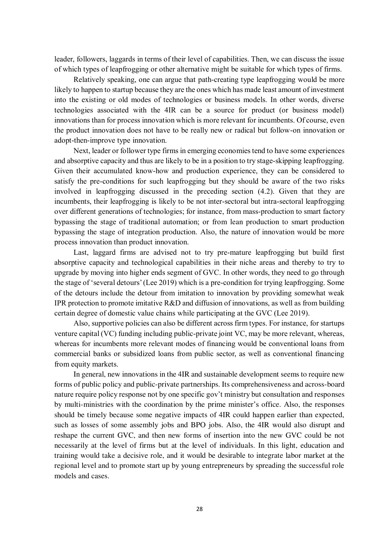leader, followers, laggards in terms of their level of capabilities. Then, we can discuss the issue of which types of leapfrogging or other alternative might be suitable for which types of firms.

Relatively speaking, one can argue that path-creating type leapfrogging would be more likely to happen to startup because they are the ones which has made least amount of investment into the existing or old modes of technologies or business models. In other words, diverse technologies associated with the 4IR can be a source for product (or business model) innovations than for process innovation which is more relevant for incumbents. Of course, even the product innovation does not have to be really new or radical but follow-on innovation or adopt-then-improve type innovation.

Next, leader or follower type firms in emerging economies tend to have some experiences and absorptive capacity and thus are likely to be in a position to try stage-skipping leapfrogging. Given their accumulated know-how and production experience, they can be considered to satisfy the pre-conditions for such leapfrogging but they should be aware of the two risks involved in leapfrogging discussed in the preceding section (4.2). Given that they are incumbents, their leapfrogging is likely to be not inter-sectoral but intra-sectoral leapfrogging over different generations of technologies; for instance, from mass-production to smart factory bypassing the stage of traditional automation; or from lean production to smart production bypassing the stage of integration production. Also, the nature of innovation would be more process innovation than product innovation.

Last, laggard firms are advised not to try pre-mature leapfrogging but build first absorptive capacity and technological capabilities in their niche areas and thereby to try to upgrade by moving into higher ends segment of GVC. In other words, they need to go through the stage of 'several detours' (Lee 2019) which is a pre-condition for trying leapfrogging. Some of the detours include the detour from imitation to innovation by providing somewhat weak IPR protection to promote imitative R&D and diffusion of innovations, as well as from building certain degree of domestic value chains while participating at the GVC (Lee 2019).

Also, supportive policies can also be different across firm types. For instance, for startups venture capital (VC) funding including public-private joint VC, may be more relevant, whereas, whereas for incumbents more relevant modes of financing would be conventional loans from commercial banks or subsidized loans from public sector, as well as conventional financing from equity markets.

In general, new innovations in the 4IR and sustainable development seems to require new forms of public policy and public-private partnerships. Its comprehensiveness and across-board nature require policy response not by one specific gov't ministry but consultation and responses by multi-ministries with the coordination by the prime minister's office. Also, the responses should be timely because some negative impacts of 4IR could happen earlier than expected, such as losses of some assembly jobs and BPO jobs. Also, the 4IR would also disrupt and reshape the current GVC, and then new forms of insertion into the new GVC could be not necessarily at the level of firms but at the level of individuals. In this light, education and training would take a decisive role, and it would be desirable to integrate labor market at the regional level and to promote start up by young entrepreneurs by spreading the successful role models and cases.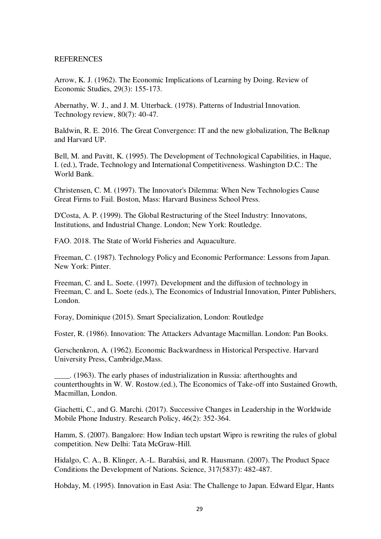# REFERENCES

Arrow, K. J. (1962). The Economic Implications of Learning by Doing. Review of Economic Studies, 29(3): 155-173.

Abernathy, W. J., and J. M. Utterback. (1978). Patterns of Industrial Innovation. Technology review, 80(7): 40-47.

Baldwin, R. E. 2016. The Great Convergence: IT and the new globalization, The Belknap and Harvard UP.

Bell, M. and Pavitt, K. (1995). The Development of Technological Capabilities, in Haque, I. (ed.), Trade, Technology and International Competitiveness. Washington D.C.: The World Bank.

Christensen, C. M. (1997). The Innovator's Dilemma: When New Technologies Cause Great Firms to Fail. Boston, Mass: Harvard Business School Press.

D'Costa, A. P. (1999). The Global Restructuring of the Steel Industry: Innovatons, Institutions, and Industrial Change. London; New York: Routledge.

FAO. 2018. The State of World Fisheries and Aquaculture.

Freeman, C. (1987). Technology Policy and Economic Performance: Lessons from Japan. New York: Pinter.

Freeman, C. and L. Soete. (1997). Development and the diffusion of technology in Freeman, C. and L. Soete (eds.), The Economics of Industrial Innovation, Pinter Publishers, London.

Foray, Dominique (2015). Smart Specialization, London: Routledge

Foster, R. (1986). Innovation: The Attackers Advantage Macmillan. London: Pan Books.

Gerschenkron, A. (1962). Economic Backwardness in Historical Perspective. Harvard University Press, Cambridge,Mass.

\_\_\_\_. (1963). The early phases of industrialization in Russia: afterthoughts and counterthoughts in W. W. Rostow.(ed.), The Economics of Take-off into Sustained Growth, Macmillan, London.

Giachetti, C., and G. Marchi. (2017). Successive Changes in Leadership in the Worldwide Mobile Phone Industry. Research Policy, 46(2): 352-364.

Hamm, S. (2007). Bangalore: How Indian tech upstart Wipro is rewriting the rules of global competition. New Delhi: Tata McGraw-Hill.

Hidalgo, C. A., B. Klinger, A.-L. Barabási, and R. Hausmann. (2007). The Product Space Conditions the Development of Nations. Science, 317(5837): 482-487.

Hobday, M. (1995). Innovation in East Asia: The Challenge to Japan. Edward Elgar, Hants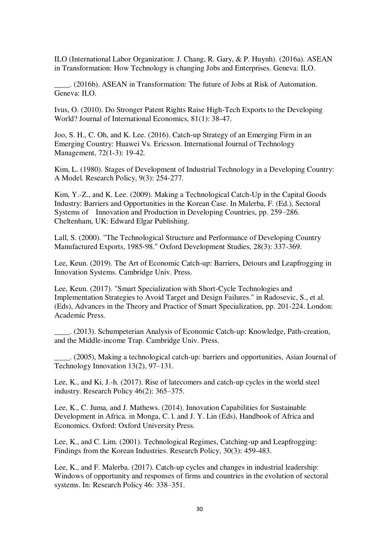ILO (International Labor Organization: J. Chang, R. Gary, & P. Huynh). (2016a). ASEAN in Transformation: How Technology is changing Jobs and Enterprises. Geneva: ILO.

\_\_\_\_. (2016b). ASEAN in Transformation: The future of Jobs at Risk of Automation. Geneva: ILO.

Ivus, O. (2010). Do Stronger Patent Rights Raise High-Tech Exports to the Developing World? Journal of International Economics, 81(1): 38-47.

Joo, S. H., C. Oh, and K. Lee. (2016). Catch-up Strategy of an Emerging Firm in an Emerging Country: Huawei Vs. Ericsson. International Journal of Technology Management, 72(1-3): 19-42.

Kim, L. (1980). Stages of Development of Industrial Technology in a Developing Country: A Model. Research Policy, 9(3): 254-277.

Kim, Y.-Z., and K. Lee. (2009). Making a Technological Catch-Up in the Capital Goods Industry: Barriers and Opportunities in the Korean Case. In Malerba, F. (Ed.), Sectoral Systems of Innovation and Production in Developing Countries, pp. 259–286. Cheltenham, UK: Edward Elgar Publishing.

Lall, S. (2000). "The Technological Structure and Performance of Developing Country Manufactured Exports, 1985‐98." Oxford Development Studies, 28(3): 337-369.

Lee, Keun. (2019). The Art of Economic Catch-up: Barriers, Detours and Leapfrogging in Innovation Systems. Cambridge Univ. Press.

Lee, Keun. (2017). "Smart Specialization with Short-Cycle Technologies and Implementation Strategies to Avoid Target and Design Failures." in Radosevic, S., et al. (Eds), Advances in the Theory and Practice of Smart Specialization, pp. 201-224. London: Academic Press.

\_\_\_\_. (2013). Schumpeterian Analysis of Economic Catch-up: Knowledge, Path-creation, and the Middle-income Trap. Cambridge Univ. Press.

\_\_\_\_. (2005), Making a technological catch-up: barriers and opportunities, Asian Journal of Technology Innovation 13(2), 97–131.

Lee, K., and Ki, J.-h. (2017). Rise of latecomers and catch-up cycles in the world steel industry. Research Policy 46(2): 365–375.

Lee, K., C. Juma, and J. Mathews. (2014). Innovation Capabilities for Sustainable Development in Africa. in Monga, C. l. and J. Y. Lin (Eds), Handbook of Africa and Economics. Oxford: Oxford University Press.

Lee, K., and C. Lim. (2001). Technological Regimes, Catching-up and Leapfrogging: Findings from the Korean Industries. Research Policy, 30(3): 459-483.

Lee, K., and F. Malerba. (2017). Catch-up cycles and changes in industrial leadership: Windows of opportunity and responses of firms and countries in the evolution of sectoral systems. In: Research Policy 46: 338–351.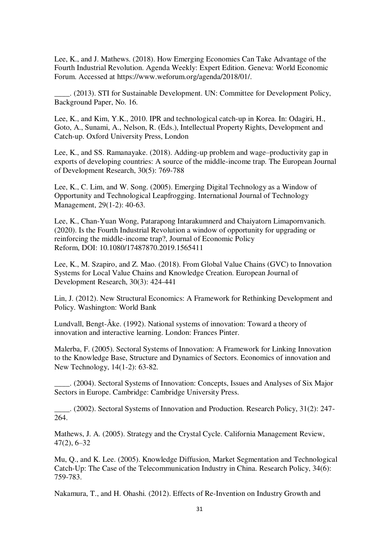Lee, K., and J. Mathews. (2018). How Emerging Economies Can Take Advantage of the Fourth Industrial Revolution. Agenda Weekly: Expert Edition. Geneva: World Economic Forum. Accessed at [https://www.weforum.org/agenda/2018/01/.](https://www.weforum.org/agenda/2018/01/)

\_\_\_\_. (2013). STI for Sustainable Development. UN: Committee for Development Policy, Background Paper, No. 16.

Lee, K., and Kim, Y.K., 2010. IPR and technological catch-up in Korea. In: Odagiri, H., Goto, A., Sunami, A., Nelson, R. (Eds.), Intellectual Property Rights, Development and Catch-up. Oxford University Press, London

Lee, K., and SS. Ramanayake. (2018). Adding-up problem and wage–productivity gap in exports of developing countries: A source of the middle-income trap. The European Journal of Development Research, 30(5): 769-788

Lee, K., C. Lim, and W. Song. (2005). Emerging Digital Technology as a Window of Opportunity and Technological Leapfrogging. International Journal of Technology Management, 29(1-2): 40-63.

Lee, K., Chan-Yuan Wong, Patarapong Intarakumnerd and Chaiyatorn Limapornvanich. (2020). Is the Fourth Industrial Revolution a window of opportunity for upgrading or reinforcing the middle-income trap?, Journal of Economic Policy Reform, DOI: [10.1080/17487870.2019.1565411](https://doi.org/10.1080/17487870.2019.1565411) 

Lee, K., M. Szapiro, and Z. Mao. (2018). From Global Value Chains (GVC) to Innovation Systems for Local Value Chains and Knowledge Creation. European Journal of Development Research, 30(3): 424-441

Lin, J. (2012). New Structural Economics: A Framework for Rethinking Development and Policy. Washington: World Bank

Lundvall, Bengt-Åke. (1992). National systems of innovation: Toward a theory of innovation and interactive learning. London: Frances Pinter.

Malerba, F. (2005). Sectoral Systems of Innovation: A Framework for Linking Innovation to the Knowledge Base, Structure and Dynamics of Sectors. Economics of innovation and New Technology, 14(1-2): 63-82.

\_\_\_\_. (2004). Sectoral Systems of Innovation: Concepts, Issues and Analyses of Six Major Sectors in Europe. Cambridge: Cambridge University Press.

\_\_\_\_. (2002). Sectoral Systems of Innovation and Production. Research Policy, 31(2): 247- 264.

Mathews, J. A. (2005). Strategy and the Crystal Cycle. California Management Review, 47(2), 6–32

Mu, Q., and K. Lee. (2005). Knowledge Diffusion, Market Segmentation and Technological Catch-Up: The Case of the Telecommunication Industry in China. Research Policy, 34(6): 759-783.

Nakamura, T., and H. Ohashi. (2012). Effects of Re-Invention on Industry Growth and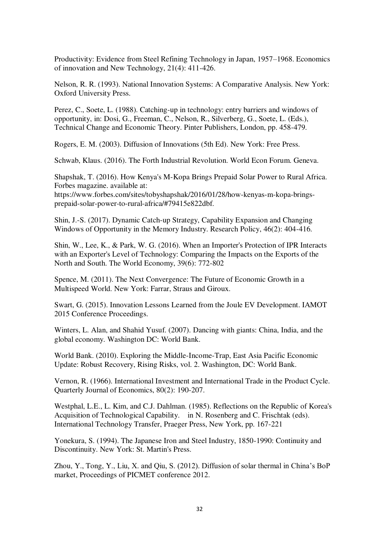Productivity: Evidence from Steel Refining Technology in Japan, 1957–1968. Economics of innovation and New Technology, 21(4): 411-426.

Nelson, R. R. (1993). National Innovation Systems: A Comparative Analysis. New York: Oxford University Press.

Perez, C., Soete, L. (1988). Catching-up in technology: entry barriers and windows of opportunity, in: Dosi, G., Freeman, C., Nelson, R., Silverberg, G., Soete, L. (Eds.), Technical Change and Economic Theory. Pinter Publishers, London, pp. 458-479.

Rogers, E. M. (2003). Diffusion of Innovations (5th Ed). New York: Free Press.

Schwab, Klaus. (2016). The Forth Industrial Revolution. World Econ Forum. Geneva.

Shapshak, T. (2016). How Kenya's M-Kopa Brings Prepaid Solar Power to Rural Africa. Forbes magazine. available at:

[https://www.forbes.com/sites/tobyshapshak/2016/01/28/how-kenyas-m-kopa-brings](https://www.forbes.com/sites/tobyshapshak/2016/01/28/how-kenyas-m-kopa-brings-prepaid-solar-power-to-rural-africa/#79415e822dbf)[prepaid-solar-power-to-rural-africa/#79415e822dbf.](https://www.forbes.com/sites/tobyshapshak/2016/01/28/how-kenyas-m-kopa-brings-prepaid-solar-power-to-rural-africa/#79415e822dbf)

Shin, J.-S. (2017). Dynamic Catch-up Strategy, Capability Expansion and Changing Windows of Opportunity in the Memory Industry. Research Policy, 46(2): 404-416.

Shin, W., Lee, K., & Park, W. G. (2016). When an Importer's Protection of IPR Interacts with an Exporter's Level of Technology: Comparing the Impacts on the Exports of the North and South. The World Economy, 39(6): 772-802

Spence, M. (2011). The Next Convergence: The Future of Economic Growth in a Multispeed World. New York: Farrar, Straus and Giroux.

Swart, G. (2015). Innovation Lessons Learned from the Joule EV Development. IAMOT 2015 Conference Proceedings.

Winters, L. Alan, and Shahid Yusuf. (2007). Dancing with giants: China, India, and the global economy. Washington DC: World Bank.

World Bank. (2010). Exploring the Middle-Income-Trap, East Asia Pacific Economic Update: Robust Recovery, Rising Risks, vol. 2. Washington, DC: World Bank.

Vernon, R. (1966). International Investment and International Trade in the Product Cycle. Quarterly Journal of Economics, 80(2): 190-207.

Westphal, L.E., L. Kim, and C.J. Dahlman. (1985). Reflections on the Republic of Korea's Acquisition of Technological Capability. in N. Rosenberg and C. Frischtak (eds). International Technology Transfer, Praeger Press, New York, pp. 167-221

Yonekura, S. (1994). The Japanese Iron and Steel Industry, 1850-1990: Continuity and Discontinuity. New York: St. Martin's Press.

Zhou, Y., Tong, Y., Liu, X. and Qiu, S. (2012). Diffusion of solar thermal in China's BoP market, Proceedings of PICMET conference 2012.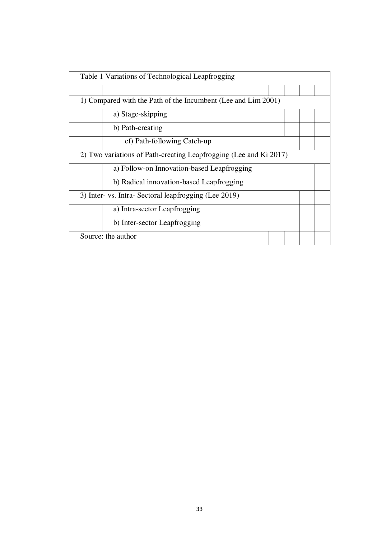| Table 1 Variations of Technological Leapfrogging                  |  |  |
|-------------------------------------------------------------------|--|--|
|                                                                   |  |  |
| 1) Compared with the Path of the Incumbent (Lee and Lim 2001)     |  |  |
| a) Stage-skipping                                                 |  |  |
| b) Path-creating                                                  |  |  |
| cf) Path-following Catch-up                                       |  |  |
| 2) Two variations of Path-creating Leapfrogging (Lee and Ki 2017) |  |  |
| a) Follow-on Innovation-based Leapfrogging                        |  |  |
| b) Radical innovation-based Leapfrogging                          |  |  |
| 3) Inter- vs. Intra- Sectoral leapfrogging (Lee 2019)             |  |  |
| a) Intra-sector Leapfrogging                                      |  |  |
| b) Inter-sector Leapfrogging                                      |  |  |
| Source: the author                                                |  |  |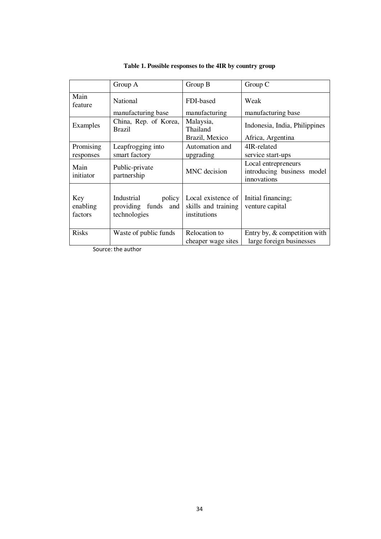|                            | Group A                                                           | Group B                                                   | Group C                                                          |
|----------------------------|-------------------------------------------------------------------|-----------------------------------------------------------|------------------------------------------------------------------|
| Main<br>feature            | <b>National</b>                                                   | FDI-based                                                 | Weak                                                             |
|                            | manufacturing base                                                | manufacturing                                             | manufacturing base                                               |
| Examples                   | China, Rep. of Korea,<br><b>Brazil</b>                            | Malaysia,<br>Thailand                                     | Indonesia, India, Philippines                                    |
|                            |                                                                   | Brazil, Mexico                                            | Africa, Argentina                                                |
| Promising                  | Leapfrogging into                                                 | Automation and                                            | 4IR-related                                                      |
| responses                  | smart factory                                                     | upgrading                                                 | service start-ups                                                |
| Main<br>initiator          | Public-private<br>partnership                                     | MNC decision                                              | Local entrepreneurs<br>introducing business model<br>innovations |
| Key<br>enabling<br>factors | policy<br>Industrial<br>funds<br>providing<br>and<br>technologies | Local existence of<br>skills and training<br>institutions | Initial financing;<br>venture capital                            |
| <b>Risks</b>               | Waste of public funds                                             | Relocation to<br>cheaper wage sites                       | Entry by, & competition with<br>large foreign businesses         |

| Table 1. Possible responses to the 4IR by country group |  |  |
|---------------------------------------------------------|--|--|
|---------------------------------------------------------|--|--|

Source: the author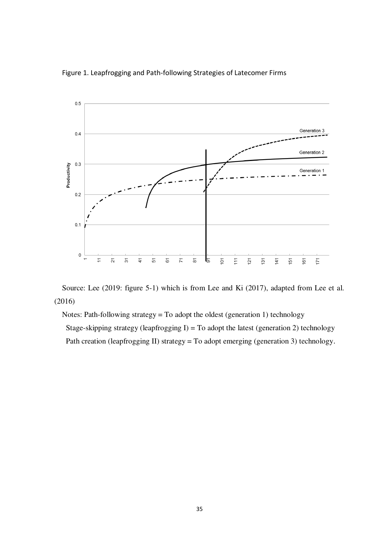



Source: Lee (2019: figure 5-1) which is from Lee and Ki (2017), adapted from Lee et al. (2016)

Notes: Path-following strategy = To adopt the oldest (generation 1) technology

Stage-skipping strategy (leapfrogging I) = To adopt the latest (generation 2) technology

Path creation (leapfrogging II) strategy = To adopt emerging (generation 3) technology.